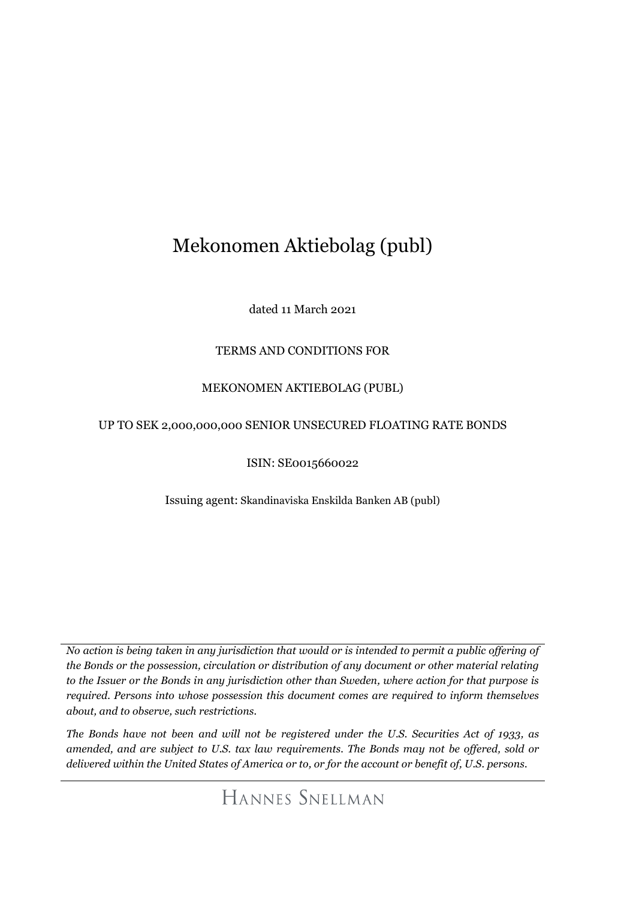# Mekonomen Aktiebolag (publ)

dated 11 March 2021

# TERMS AND CONDITIONS FOR

# MEKONOMEN AKTIEBOLAG (PUBL)

# UP TO SEK 2,000,000,000 SENIOR UNSECURED FLOATING RATE BONDS

ISIN: SE0015660022

Issuing agent: Skandinaviska Enskilda Banken AB (publ)

*No action is being taken in any jurisdiction that would or is intended to permit a public offering of the Bonds or the possession, circulation or distribution of any document or other material relating to the Issuer or the Bonds in any jurisdiction other than Sweden, where action for that purpose is required. Persons into whose possession this document comes are required to inform themselves about, and to observe, such restrictions.* 

*The Bonds have not been and will not be registered under the U.S. Securities Act of 1933, as amended, and are subject to U.S. tax law requirements. The Bonds may not be offered, sold or delivered within the United States of America or to, or for the account or benefit of, U.S. persons.*

HANNES SNELLMAN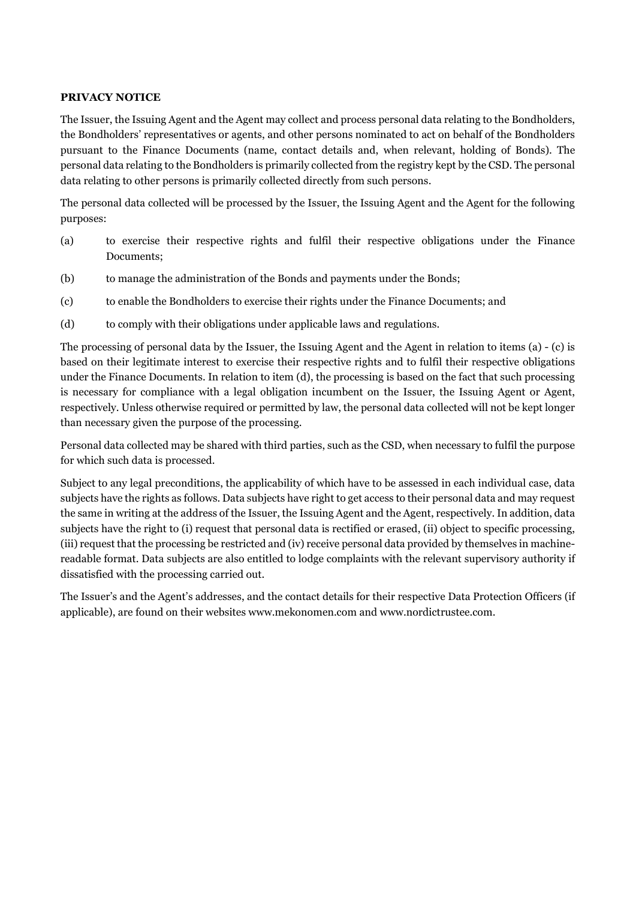#### **PRIVACY NOTICE**

The Issuer, the Issuing Agent and the Agent may collect and process personal data relating to the Bondholders, the Bondholders' representatives or agents, and other persons nominated to act on behalf of the Bondholders pursuant to the Finance Documents (name, contact details and, when relevant, holding of Bonds). The personal data relating to the Bondholders is primarily collected from the registry kept by the CSD. The personal data relating to other persons is primarily collected directly from such persons.

The personal data collected will be processed by the Issuer, the Issuing Agent and the Agent for the following purposes:

- (a) to exercise their respective rights and fulfil their respective obligations under the Finance Documents;
- (b) to manage the administration of the Bonds and payments under the Bonds;
- (c) to enable the Bondholders to exercise their rights under the Finance Documents; and
- (d) to comply with their obligations under applicable laws and regulations.

The processing of personal data by the Issuer, the Issuing Agent and the Agent in relation to items (a) - (c) is based on their legitimate interest to exercise their respective rights and to fulfil their respective obligations under the Finance Documents. In relation to item (d), the processing is based on the fact that such processing is necessary for compliance with a legal obligation incumbent on the Issuer, the Issuing Agent or Agent, respectively. Unless otherwise required or permitted by law, the personal data collected will not be kept longer than necessary given the purpose of the processing.

Personal data collected may be shared with third parties, such as the CSD, when necessary to fulfil the purpose for which such data is processed.

Subject to any legal preconditions, the applicability of which have to be assessed in each individual case, data subjects have the rights as follows. Data subjects have right to get access to their personal data and may request the same in writing at the address of the Issuer, the Issuing Agent and the Agent, respectively. In addition, data subjects have the right to (i) request that personal data is rectified or erased, (ii) object to specific processing, (iii) request that the processing be restricted and (iv) receive personal data provided by themselves in machinereadable format. Data subjects are also entitled to lodge complaints with the relevant supervisory authority if dissatisfied with the processing carried out.

The Issuer's and the Agent's addresses, and the contact details for their respective Data Protection Officers (if applicable), are found on their websites www.mekonomen.com and www.nordictrustee.com.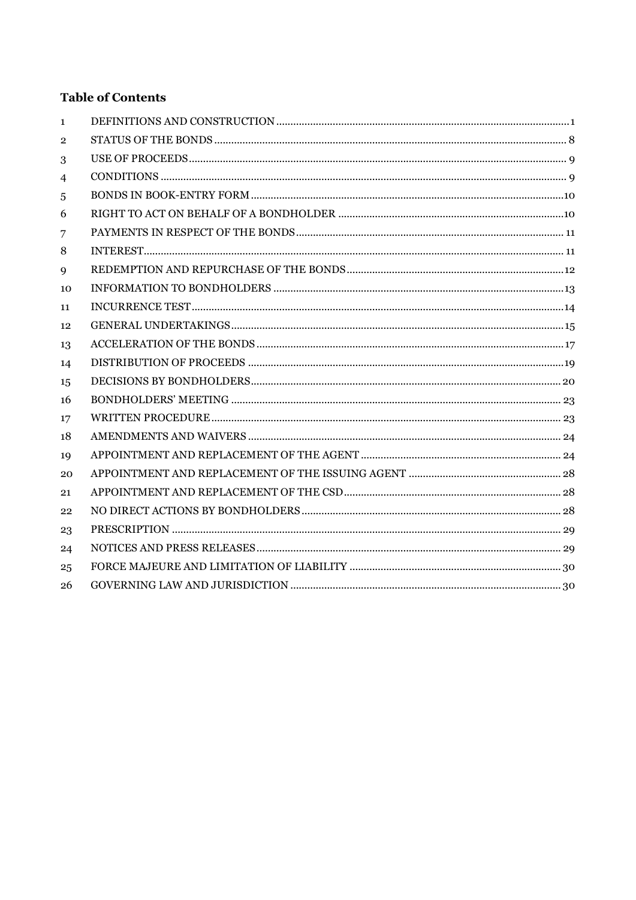# **Table of Contents**

| $\mathbf{1}$     |  |
|------------------|--|
| $\boldsymbol{2}$ |  |
| 3                |  |
| 4                |  |
| 5                |  |
| 6                |  |
| 7                |  |
| 8                |  |
| 9                |  |
| 10               |  |
| 11               |  |
| 12               |  |
| 13               |  |
| 14               |  |
| 15               |  |
| 16               |  |
| 17               |  |
| 18               |  |
| 19               |  |
| 20               |  |
| 21               |  |
| 22               |  |
| 23               |  |
| 24               |  |
| 25               |  |
| 26               |  |
|                  |  |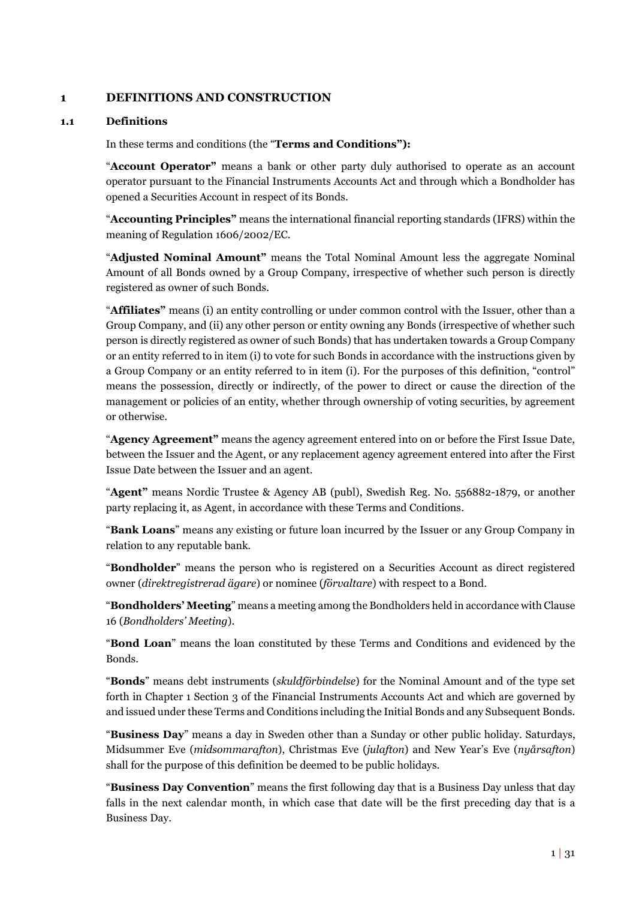#### <span id="page-3-0"></span>**1 DEFINITIONS AND CONSTRUCTION**

#### **1.1 Definitions**

In these terms and conditions (the "**Terms and Conditions"):** 

"**Account Operator"** means a bank or other party duly authorised to operate as an account operator pursuant to the Financial Instruments Accounts Act and through which a Bondholder has opened a Securities Account in respect of its Bonds.

"**Accounting Principles"** means the international financial reporting standards (IFRS) within the meaning of Regulation 1606/2002/EC.

"**Adjusted Nominal Amount"** means the Total Nominal Amount less the aggregate Nominal Amount of all Bonds owned by a Group Company, irrespective of whether such person is directly registered as owner of such Bonds.

"**Affiliates"** means (i) an entity controlling or under common control with the Issuer, other than a Group Company, and (ii) any other person or entity owning any Bonds (irrespective of whether such person is directly registered as owner of such Bonds) that has undertaken towards a Group Company or an entity referred to in item (i) to vote for such Bonds in accordance with the instructions given by a Group Company or an entity referred to in item (i). For the purposes of this definition, "control" means the possession, directly or indirectly, of the power to direct or cause the direction of the management or policies of an entity, whether through ownership of voting securities, by agreement or otherwise.

"**Agency Agreement"** means the agency agreement entered into on or before the First Issue Date, between the Issuer and the Agent, or any replacement agency agreement entered into after the First Issue Date between the Issuer and an agent.

"**Agent"** means Nordic Trustee & Agency AB (publ), Swedish Reg. No. 556882-1879, or another party replacing it, as Agent, in accordance with these Terms and Conditions.

"**Bank Loans**" means any existing or future loan incurred by the Issuer or any Group Company in relation to any reputable bank.

"**Bondholder**" means the person who is registered on a Securities Account as direct registered owner (*direktregistrerad ägare*) or nominee (*förvaltare*) with respect to a Bond.

"**Bondholders' Meeting**" means a meeting among the Bondholders held in accordance with Clause [16](#page-25-0) (*Bondholders' Meeting*).

"**Bond Loan**" means the loan constituted by these Terms and Conditions and evidenced by the Bonds.

"**Bonds**" means debt instruments (*skuldförbindelse*) for the Nominal Amount and of the type set forth in Chapter 1 Section 3 of the Financial Instruments Accounts Act and which are governed by and issued under these Terms and Conditions including the Initial Bonds and any Subsequent Bonds.

"**Business Day**" means a day in Sweden other than a Sunday or other public holiday. Saturdays, Midsummer Eve (*midsommarafton*), Christmas Eve (*julafton*) and New Year's Eve (*nyårsafton*) shall for the purpose of this definition be deemed to be public holidays.

"**Business Day Convention**" means the first following day that is a Business Day unless that day falls in the next calendar month, in which case that date will be the first preceding day that is a Business Day.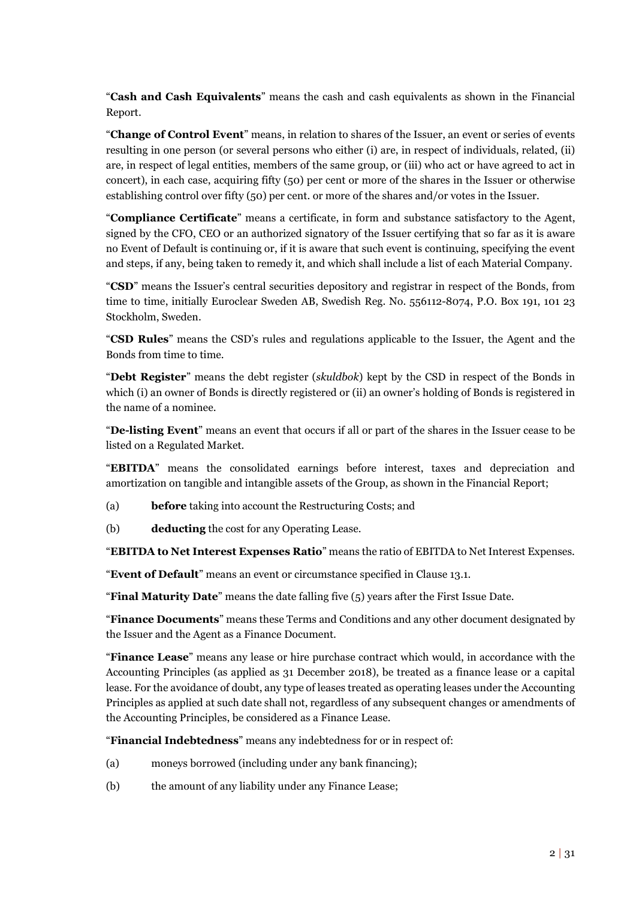"**Cash and Cash Equivalents**" means the cash and cash equivalents as shown in the Financial Report.

"**Change of Control Event**" means, in relation to shares of the Issuer, an event or series of events resulting in one person (or several persons who either (i) are, in respect of individuals, related, (ii) are, in respect of legal entities, members of the same group, or (iii) who act or have agreed to act in concert), in each case, acquiring fifty (50) per cent or more of the shares in the Issuer or otherwise establishing control over fifty (50) per cent. or more of the shares and/or votes in the Issuer.

"**Compliance Certificate**" means a certificate, in form and substance satisfactory to the Agent, signed by the CFO, CEO or an authorized signatory of the Issuer certifying that so far as it is aware no Event of Default is continuing or, if it is aware that such event is continuing, specifying the event and steps, if any, being taken to remedy it, and which shall include a list of each Material Company.

"**CSD**" means the Issuer's central securities depository and registrar in respect of the Bonds, from time to time, initially Euroclear Sweden AB, Swedish Reg. No. 556112-8074, P.O. Box 191, 101 23 Stockholm, Sweden.

"**CSD Rules**" means the CSD's rules and regulations applicable to the Issuer, the Agent and the Bonds from time to time.

"**Debt Register**" means the debt register (*skuldbok*) kept by the CSD in respect of the Bonds in which (i) an owner of Bonds is directly registered or (ii) an owner's holding of Bonds is registered in the name of a nominee.

"**De-listing Event**" means an event that occurs if all or part of the shares in the Issuer cease to be listed on a Regulated Market.

"**EBITDA**" means the consolidated earnings before interest, taxes and depreciation and amortization on tangible and intangible assets of the Group, as shown in the Financial Report;

- (a) **before** taking into account the Restructuring Costs; and
- (b) **deducting** the cost for any Operating Lease.

"**EBITDA to Net Interest Expenses Ratio**" means the ratio of EBITDA to Net Interest Expenses.

"**Event of Default**" means an event or circumstance specified in Clause [13.1.](#page-19-1)

"**Final Maturity Date**" means the date falling five (5) years after the First Issue Date.

"**Finance Documents**" means these Terms and Conditions and any other document designated by the Issuer and the Agent as a Finance Document.

"**Finance Lease**" means any lease or hire purchase contract which would, in accordance with the Accounting Principles (as applied as 31 December 2018), be treated as a finance lease or a capital lease. For the avoidance of doubt, any type of leases treated as operating leases under the Accounting Principles as applied at such date shall not, regardless of any subsequent changes or amendments of the Accounting Principles, be considered as a Finance Lease.

"**Financial Indebtedness**" means any indebtedness for or in respect of:

- (a) moneys borrowed (including under any bank financing);
- (b) the amount of any liability under any Finance Lease;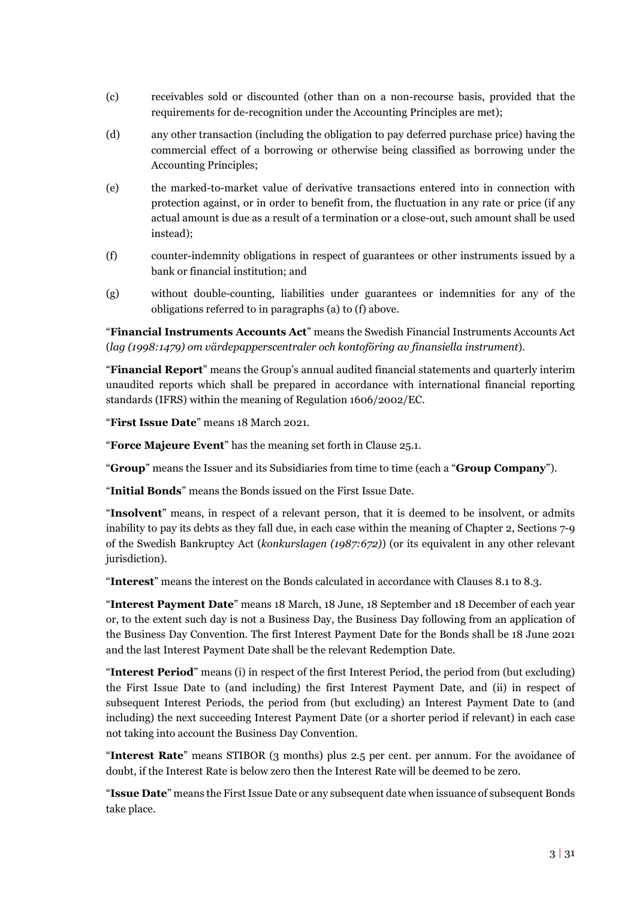- (c) receivables sold or discounted (other than on a non-recourse basis, provided that the requirements for de-recognition under the Accounting Principles are met);
- (d) any other transaction (including the obligation to pay deferred purchase price) having the commercial effect of a borrowing or otherwise being classified as borrowing under the Accounting Principles;
- (e) the marked-to-market value of derivative transactions entered into in connection with protection against, or in order to benefit from, the fluctuation in any rate or price (if any actual amount is due as a result of a termination or a close-out, such amount shall be used instead);
- (f) counter-indemnity obligations in respect of guarantees or other instruments issued by a bank or financial institution; and
- (g) without double-counting, liabilities under guarantees or indemnities for any of the obligations referred to in paragraphs (a) to (f) above.

"**Financial Instruments Accounts Act**" means the Swedish Financial Instruments Accounts Act (*lag (1998:1479) om värdepapperscentraler och kontoföring av finansiella instrument*).

"**Financial Report**" means the Group's annual audited financial statements and quarterly interim unaudited reports which shall be prepared in accordance with international financial reporting standards (IFRS) within the meaning of Regulation 1606/2002/EC.

"**First Issue Date**" means 18 March 2021.

"**Force Majeure Event**" has the meaning set forth in Clause [25.1.](#page-32-2)

"**Group**" means the Issuer and its Subsidiaries from time to time (each a "**Group Company**").

"**Initial Bonds**" means the Bonds issued on the First Issue Date.

"**Insolvent**" means, in respect of a relevant person, that it is deemed to be insolvent, or admits inability to pay its debts as they fall due, in each case within the meaning of Chapter 2, Sections 7-9 of the Swedish Bankruptcy Act (*konkurslagen (1987:672)*) (or its equivalent in any other relevant jurisdiction).

"**Interest**" means the interest on the Bonds calculated in accordance with Clauses [8.1](#page-13-2) t[o 8.3.](#page-13-3)

"**Interest Payment Date**" means 18 March, 18 June, 18 September and 18 December of each year or, to the extent such day is not a Business Day, the Business Day following from an application of the Business Day Convention. The first Interest Payment Date for the Bonds shall be 18 June 2021 and the last Interest Payment Date shall be the relevant Redemption Date.

"**Interest Period**" means (i) in respect of the first Interest Period, the period from (but excluding) the First Issue Date to (and including) the first Interest Payment Date, and (ii) in respect of subsequent Interest Periods, the period from (but excluding) an Interest Payment Date to (and including) the next succeeding Interest Payment Date (or a shorter period if relevant) in each case not taking into account the Business Day Convention.

"**Interest Rate**" means STIBOR (3 months) plus 2.5 per cent. per annum. For the avoidance of doubt, if the Interest Rate is below zero then the Interest Rate will be deemed to be zero.

"**Issue Date**" means the First Issue Date or any subsequent date when issuance of subsequent Bonds take place.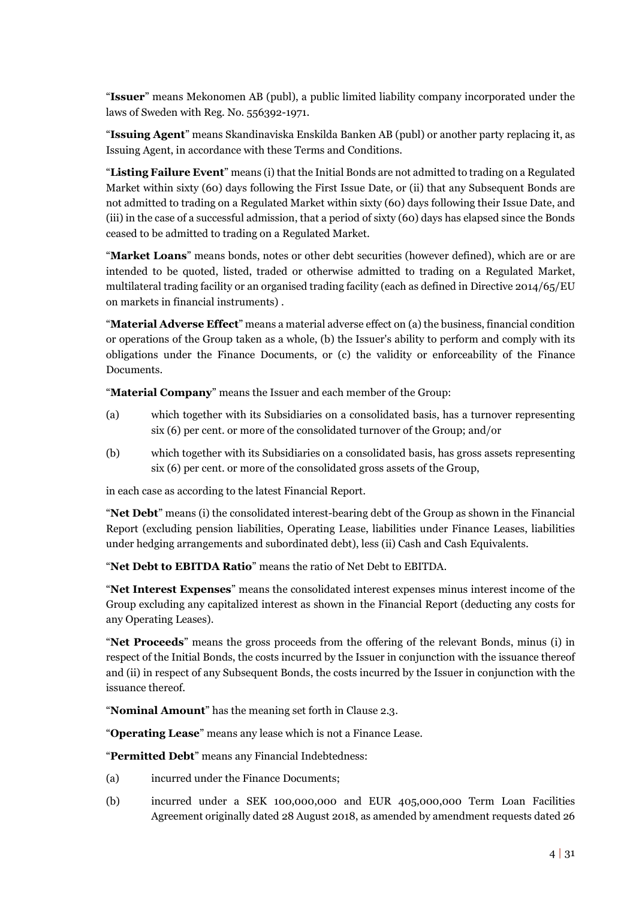"**Issuer**" means Mekonomen AB (publ), a public limited liability company incorporated under the laws of Sweden with Reg. No. 556392-1971.

"**Issuing Agent**" means Skandinaviska Enskilda Banken AB (publ) or another party replacing it, as Issuing Agent, in accordance with these Terms and Conditions.

"**Listing Failure Event**" means (i) that the Initial Bonds are not admitted to trading on a Regulated Market within sixty (60) days following the First Issue Date, or (ii) that any Subsequent Bonds are not admitted to trading on a Regulated Market within sixty (60) days following their Issue Date, and (iii) in the case of a successful admission, that a period of sixty (60) days has elapsed since the Bonds ceased to be admitted to trading on a Regulated Market.

"**Market Loans**" means bonds, notes or other debt securities (however defined), which are or are intended to be quoted, listed, traded or otherwise admitted to trading on a Regulated Market, multilateral trading facility or an organised trading facility (each as defined in Directive 2014/65/EU on markets in financial instruments) .

"**Material Adverse Effect**" means a material adverse effect on (a) the business, financial condition or operations of the Group taken as a whole, (b) the Issuer's ability to perform and comply with its obligations under the Finance Documents, or (c) the validity or enforceability of the Finance Documents.

"**Material Company**" means the Issuer and each member of the Group:

- (a) which together with its Subsidiaries on a consolidated basis, has a turnover representing six (6) per cent. or more of the consolidated turnover of the Group; and/or
- (b) which together with its Subsidiaries on a consolidated basis, has gross assets representing six (6) per cent. or more of the consolidated gross assets of the Group,

in each case as according to the latest Financial Report.

"**Net Debt**" means (i) the consolidated interest-bearing debt of the Group as shown in the Financial Report (excluding pension liabilities, Operating Lease, liabilities under Finance Leases, liabilities under hedging arrangements and subordinated debt), less (ii) Cash and Cash Equivalents.

"**Net Debt to EBITDA Ratio**" means the ratio of Net Debt to EBITDA.

"**Net Interest Expenses**" means the consolidated interest expenses minus interest income of the Group excluding any capitalized interest as shown in the Financial Report (deducting any costs for any Operating Leases).

"**Net Proceeds**" means the gross proceeds from the offering of the relevant Bonds, minus (i) in respect of the Initial Bonds, the costs incurred by the Issuer in conjunction with the issuance thereof and (ii) in respect of any Subsequent Bonds, the costs incurred by the Issuer in conjunction with the issuance thereof.

"**Nominal Amount**" has the meaning set forth in Clause [2.3.](#page-10-1)

"**Operating Lease**" means any lease which is not a Finance Lease.

"**Permitted Debt**" means any Financial Indebtedness:

- (a) incurred under the Finance Documents;
- (b) incurred under a SEK 100,000,000 and EUR 405,000,000 Term Loan Facilities Agreement originally dated 28 August 2018, as amended by amendment requests dated 26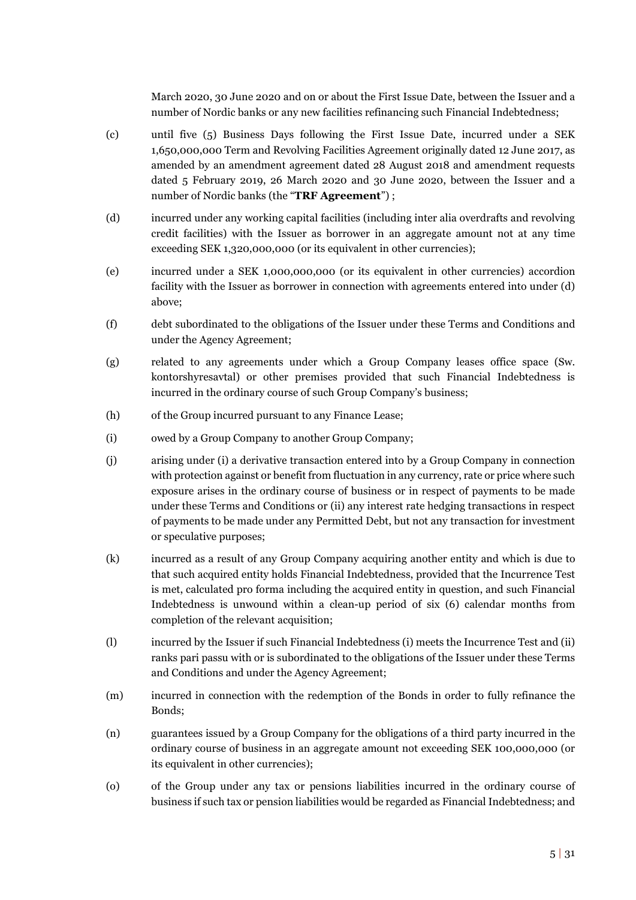March 2020, 30 June 2020 and on or about the First Issue Date, between the Issuer and a number of Nordic banks or any new facilities refinancing such Financial Indebtedness;

- (c) until five (5) Business Days following the First Issue Date, incurred under a SEK 1,650,000,000 Term and Revolving Facilities Agreement originally dated 12 June 2017, as amended by an amendment agreement dated 28 August 2018 and amendment requests dated 5 February 2019, 26 March 2020 and 30 June 2020, between the Issuer and a number of Nordic banks (the "**TRF Agreement**") ;
- (d) incurred under any working capital facilities (including inter alia overdrafts and revolving credit facilities) with the Issuer as borrower in an aggregate amount not at any time exceeding SEK 1,320,000,000 (or its equivalent in other currencies);
- (e) incurred under a SEK 1,000,000,000 (or its equivalent in other currencies) accordion facility with the Issuer as borrower in connection with agreements entered into under (d) above;
- (f) debt subordinated to the obligations of the Issuer under these Terms and Conditions and under the Agency Agreement;
- (g) related to any agreements under which a Group Company leases office space (Sw. kontorshyresavtal) or other premises provided that such Financial Indebtedness is incurred in the ordinary course of such Group Company's business;
- (h) of the Group incurred pursuant to any Finance Lease;
- (i) owed by a Group Company to another Group Company;
- (j) arising under (i) a derivative transaction entered into by a Group Company in connection with protection against or benefit from fluctuation in any currency, rate or price where such exposure arises in the ordinary course of business or in respect of payments to be made under these Terms and Conditions or (ii) any interest rate hedging transactions in respect of payments to be made under any Permitted Debt, but not any transaction for investment or speculative purposes;
- (k) incurred as a result of any Group Company acquiring another entity and which is due to that such acquired entity holds Financial Indebtedness, provided that the Incurrence Test is met, calculated pro forma including the acquired entity in question, and such Financial Indebtedness is unwound within a clean-up period of six (6) calendar months from completion of the relevant acquisition;
- (l) incurred by the Issuer if such Financial Indebtedness (i) meets the Incurrence Test and (ii) ranks pari passu with or is subordinated to the obligations of the Issuer under these Terms and Conditions and under the Agency Agreement;
- (m) incurred in connection with the redemption of the Bonds in order to fully refinance the Bonds;
- (n) guarantees issued by a Group Company for the obligations of a third party incurred in the ordinary course of business in an aggregate amount not exceeding SEK 100,000,000 (or its equivalent in other currencies);
- (o) of the Group under any tax or pensions liabilities incurred in the ordinary course of business if such tax or pension liabilities would be regarded as Financial Indebtedness; and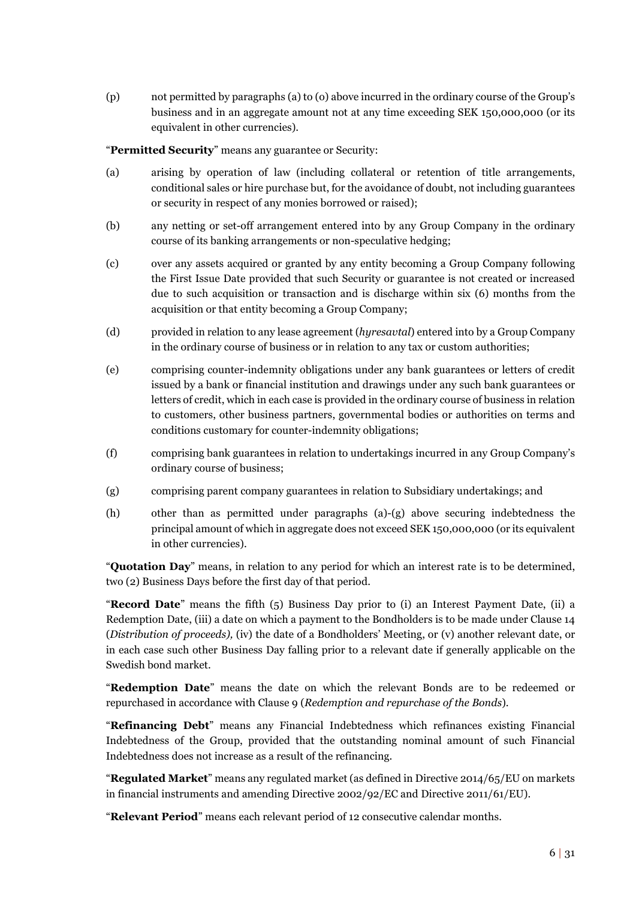(p) not permitted by paragraphs (a) to (o) above incurred in the ordinary course of the Group's business and in an aggregate amount not at any time exceeding SEK 150,000,000 (or its equivalent in other currencies).

"**Permitted Security**" means any guarantee or Security:

- (a) arising by operation of law (including collateral or retention of title arrangements, conditional sales or hire purchase but, for the avoidance of doubt, not including guarantees or security in respect of any monies borrowed or raised);
- (b) any netting or set-off arrangement entered into by any Group Company in the ordinary course of its banking arrangements or non-speculative hedging;
- (c) over any assets acquired or granted by any entity becoming a Group Company following the First Issue Date provided that such Security or guarantee is not created or increased due to such acquisition or transaction and is discharge within six (6) months from the acquisition or that entity becoming a Group Company;
- (d) provided in relation to any lease agreement (*hyresavtal*) entered into by a Group Company in the ordinary course of business or in relation to any tax or custom authorities;
- (e) comprising counter-indemnity obligations under any bank guarantees or letters of credit issued by a bank or financial institution and drawings under any such bank guarantees or letters of credit, which in each case is provided in the ordinary course of business in relation to customers, other business partners, governmental bodies or authorities on terms and conditions customary for counter-indemnity obligations;
- (f) comprising bank guarantees in relation to undertakings incurred in any Group Company's ordinary course of business;
- (g) comprising parent company guarantees in relation to Subsidiary undertakings; and
- (h) other than as permitted under paragraphs (a)-(g) above securing indebtedness the principal amount of which in aggregate does not exceed SEK 150,000,000 (or its equivalent in other currencies).

"**Quotation Day**" means, in relation to any period for which an interest rate is to be determined, two (2) Business Days before the first day of that period.

"**Record Date**" means the fifth (5) Business Day prior to (i) an Interest Payment Date, (ii) a Redemption Date, (iii) a date on which a payment to the Bondholders is to be made under Claus[e 14](#page-21-0) (*Distribution of proceeds),* (iv) the date of a Bondholders' Meeting, or (v) another relevant date, or in each case such other Business Day falling prior to a relevant date if generally applicable on the Swedish bond market.

"**Redemption Date**" means the date on which the relevant Bonds are to be redeemed or repurchased in accordance with Clause [9](#page-14-0) (*Redemption and repurchase of the Bonds*).

"**Refinancing Debt**" means any Financial Indebtedness which refinances existing Financial Indebtedness of the Group, provided that the outstanding nominal amount of such Financial Indebtedness does not increase as a result of the refinancing.

"**Regulated Market**" means any regulated market (as defined in Directive 2014/65/EU on markets in financial instruments and amending Directive 2002/92/EC and Directive 2011/61/EU).

"**Relevant Period**" means each relevant period of 12 consecutive calendar months.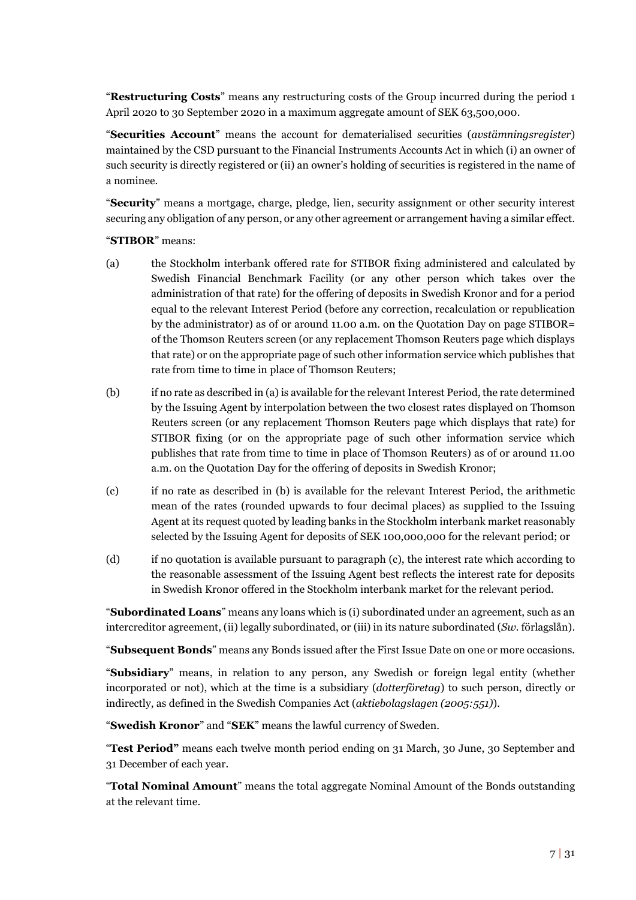"**Restructuring Costs**" means any restructuring costs of the Group incurred during the period 1 April 2020 to 30 September 2020 in a maximum aggregate amount of SEK 63,500,000.

"**Securities Account**" means the account for dematerialised securities (*avstämningsregister*) maintained by the CSD pursuant to the Financial Instruments Accounts Act in which (i) an owner of such security is directly registered or (ii) an owner's holding of securities is registered in the name of a nominee.

"**Security**" means a mortgage, charge, pledge, lien, security assignment or other security interest securing any obligation of any person, or any other agreement or arrangement having a similar effect.

#### "**STIBOR**" means:

- (a) the Stockholm interbank offered rate for STIBOR fixing administered and calculated by Swedish Financial Benchmark Facility (or any other person which takes over the administration of that rate) for the offering of deposits in Swedish Kronor and for a period equal to the relevant Interest Period (before any correction, recalculation or republication by the administrator) as of or around 11.00 a.m. on the Quotation Day on page STIBOR= of the Thomson Reuters screen (or any replacement Thomson Reuters page which displays that rate) or on the appropriate page of such other information service which publishes that rate from time to time in place of Thomson Reuters;
- (b) if no rate as described in (a) is available for the relevant Interest Period, the rate determined by the Issuing Agent by interpolation between the two closest rates displayed on Thomson Reuters screen (or any replacement Thomson Reuters page which displays that rate) for STIBOR fixing (or on the appropriate page of such other information service which publishes that rate from time to time in place of Thomson Reuters) as of or around 11.00 a.m. on the Quotation Day for the offering of deposits in Swedish Kronor;
- (c) if no rate as described in (b) is available for the relevant Interest Period, the arithmetic mean of the rates (rounded upwards to four decimal places) as supplied to the Issuing Agent at its request quoted by leading banks in the Stockholm interbank market reasonably selected by the Issuing Agent for deposits of SEK 100,000,000 for the relevant period; or
- (d) if no quotation is available pursuant to paragraph (c), the interest rate which according to the reasonable assessment of the Issuing Agent best reflects the interest rate for deposits in Swedish Kronor offered in the Stockholm interbank market for the relevant period.

"**Subordinated Loans**" means any loans which is (i) subordinated under an agreement, such as an intercreditor agreement, (ii) legally subordinated, or (iii) in its nature subordinated (*Sw.* förlagslån).

"**Subsequent Bonds**" means any Bonds issued after the First Issue Date on one or more occasions.

"**Subsidiary**" means, in relation to any person, any Swedish or foreign legal entity (whether incorporated or not), which at the time is a subsidiary (*dotterföretag*) to such person, directly or indirectly, as defined in the Swedish Companies Act (*aktiebolagslagen (2005:551)*).

"**Swedish Kronor**" and "**SEK**" means the lawful currency of Sweden.

"**Test Period"** means each twelve month period ending on 31 March, 30 June, 30 September and 31 December of each year.

"**Total Nominal Amount**" means the total aggregate Nominal Amount of the Bonds outstanding at the relevant time.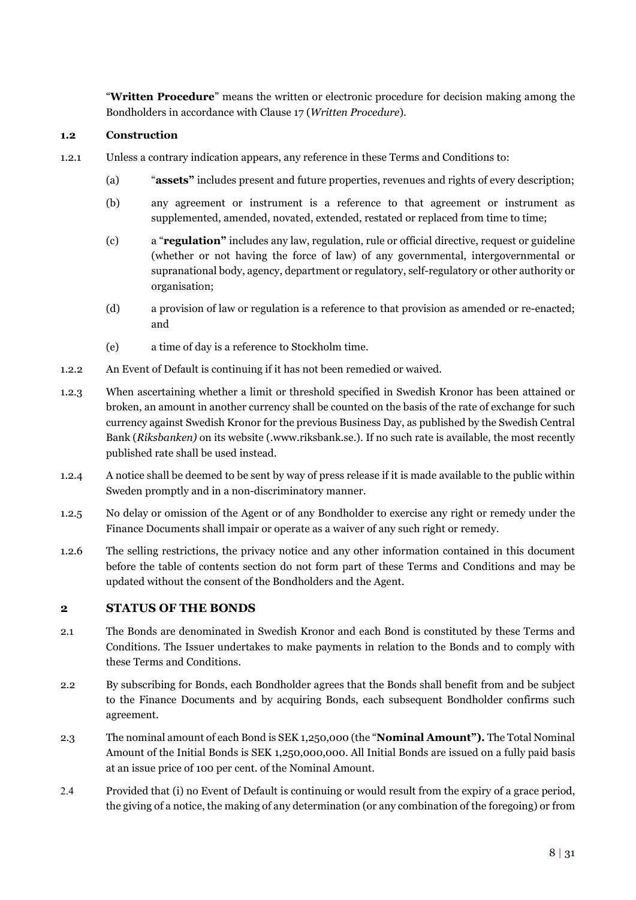"**Written Procedure**" means the written or electronic procedure for decision making among the Bondholders in accordance with Clause [17 \(](#page-25-1)*Written Procedure*).

#### **1.2 Construction**

- 1.2.1 Unless a contrary indication appears, any reference in these Terms and Conditions to:
	- (a) "**assets"** includes present and future properties, revenues and rights of every description;
	- (b) any agreement or instrument is a reference to that agreement or instrument as supplemented, amended, novated, extended, restated or replaced from time to time;
	- (c) a "**regulation"** includes any law, regulation, rule or official directive, request or guideline (whether or not having the force of law) of any governmental, intergovernmental or supranational body, agency, department or regulatory, self-regulatory or other authority or organisation;
	- (d) a provision of law or regulation is a reference to that provision as amended or re-enacted; and
	- (e) a time of day is a reference to Stockholm time.
- 1.2.2 An Event of Default is continuing if it has not been remedied or waived.
- 1.2.3 When ascertaining whether a limit or threshold specified in Swedish Kronor has been attained or broken, an amount in another currency shall be counted on the basis of the rate of exchange for such currency against Swedish Kronor for the previous Business Day, as published by the Swedish Central Bank (*Riksbanken)* on its website (.www.riksbank.se.). If no such rate is available, the most recently published rate shall be used instead.
- 1.2.4 A notice shall be deemed to be sent by way of press release if it is made available to the public within Sweden promptly and in a non-discriminatory manner.
- 1.2.5 No delay or omission of the Agent or of any Bondholder to exercise any right or remedy under the Finance Documents shall impair or operate as a waiver of any such right or remedy.
- 1.2.6 The selling restrictions, the privacy notice and any other information contained in this document before the table of contents section do not form part of these Terms and Conditions and may be updated without the consent of the Bondholders and the Agent.

### <span id="page-10-0"></span>**2 STATUS OF THE BONDS**

- <span id="page-10-2"></span>2.1 The Bonds are denominated in Swedish Kronor and each Bond is constituted by these Terms and Conditions. The Issuer undertakes to make payments in relation to the Bonds and to comply with these Terms and Conditions.
- 2.2 By subscribing for Bonds, each Bondholder agrees that the Bonds shall benefit from and be subject to the Finance Documents and by acquiring Bonds, each subsequent Bondholder confirms such agreement.
- <span id="page-10-1"></span>2.3 The nominal amount of each Bond is SEK 1,250,000 (the "**Nominal Amount").** The Total Nominal Amount of the Initial Bonds is SEK 1,250,000,000. All Initial Bonds are issued on a fully paid basis at an issue price of 100 per cent. of the Nominal Amount.
- <span id="page-10-3"></span>2.4 Provided that (i) no Event of Default is continuing or would result from the expiry of a grace period, the giving of a notice, the making of any determination (or any combination of the foregoing) or from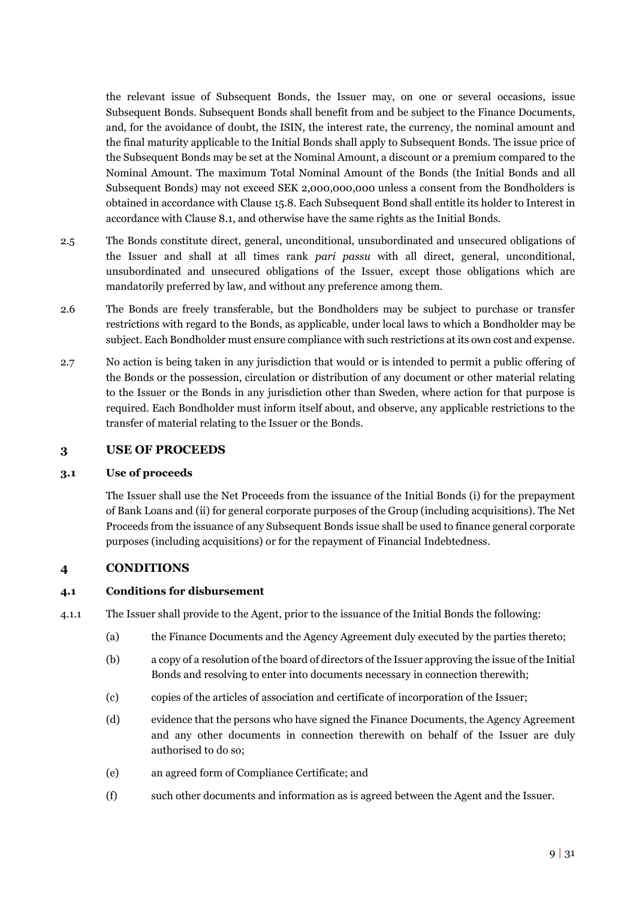the relevant issue of Subsequent Bonds, the Issuer may, on one or several occasions, issue Subsequent Bonds. Subsequent Bonds shall benefit from and be subject to the Finance Documents, and, for the avoidance of doubt, the ISIN, the interest rate, the currency, the nominal amount and the final maturity applicable to the Initial Bonds shall apply to Subsequent Bonds. The issue price of the Subsequent Bonds may be set at the Nominal Amount, a discount or a premium compared to the Nominal Amount. The maximum Total Nominal Amount of the Bonds (the Initial Bonds and all Subsequent Bonds) may not exceed SEK 2,000,000,000 unless a consent from the Bondholders is obtained in accordance with Clause [15.8.](#page-23-0) Each Subsequent Bond shall entitle its holder to Interest in accordance with Clause [8.1,](#page-13-2) and otherwise have the same rights as the Initial Bonds.

- <span id="page-11-3"></span>2.5 The Bonds constitute direct, general, unconditional, unsubordinated and unsecured obligations of the Issuer and shall at all times rank *pari passu* with all direct, general, unconditional, unsubordinated and unsecured obligations of the Issuer, except those obligations which are mandatorily preferred by law, and without any preference among them.
- 2.6 The Bonds are freely transferable, but the Bondholders may be subject to purchase or transfer restrictions with regard to the Bonds, as applicable, under local laws to which a Bondholder may be subject. Each Bondholder must ensure compliance with such restrictions at its own cost and expense.
- <span id="page-11-4"></span>2.7 No action is being taken in any jurisdiction that would or is intended to permit a public offering of the Bonds or the possession, circulation or distribution of any document or other material relating to the Issuer or the Bonds in any jurisdiction other than Sweden, where action for that purpose is required. Each Bondholder must inform itself about, and observe, any applicable restrictions to the transfer of material relating to the Issuer or the Bonds.

#### <span id="page-11-0"></span>**3 USE OF PROCEEDS**

#### **3.1 Use of proceeds**

The Issuer shall use the Net Proceeds from the issuance of the Initial Bonds (i) for the prepayment of Bank Loans and (ii) for general corporate purposes of the Group (including acquisitions). The Net Proceeds from the issuance of any Subsequent Bonds issue shall be used to finance general corporate purposes (including acquisitions) or for the repayment of Financial Indebtedness.

### <span id="page-11-1"></span>**4 CONDITIONS**

#### <span id="page-11-2"></span>**4.1 Conditions for disbursement**

4.1.1 The Issuer shall provide to the Agent, prior to the issuance of the Initial Bonds the following:

- (a) the Finance Documents and the Agency Agreement duly executed by the parties thereto;
- (b) a copy of a resolution of the board of directors of the Issuer approving the issue of the Initial Bonds and resolving to enter into documents necessary in connection therewith;
- (c) copies of the articles of association and certificate of incorporation of the Issuer;
- (d) evidence that the persons who have signed the Finance Documents, the Agency Agreement and any other documents in connection therewith on behalf of the Issuer are duly authorised to do so;
- (e) an agreed form of Compliance Certificate; and
- (f) such other documents and information as is agreed between the Agent and the Issuer.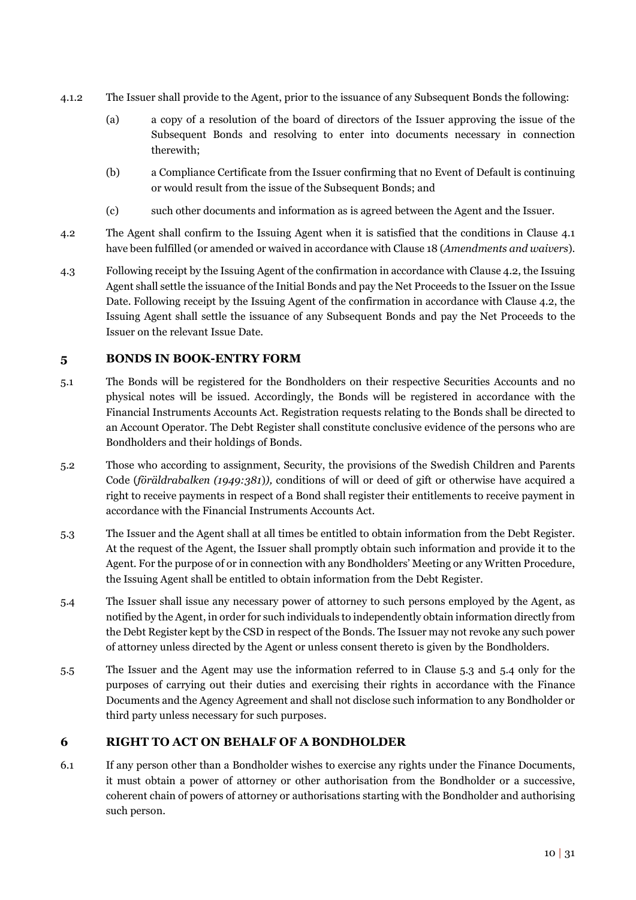- 4.1.2 The Issuer shall provide to the Agent, prior to the issuance of any Subsequent Bonds the following:
	- (a) a copy of a resolution of the board of directors of the Issuer approving the issue of the Subsequent Bonds and resolving to enter into documents necessary in connection therewith;
	- (b) a Compliance Certificate from the Issuer confirming that no Event of Default is continuing or would result from the issue of the Subsequent Bonds; and
	- (c) such other documents and information as is agreed between the Agent and the Issuer.
- <span id="page-12-2"></span>4.2 The Agent shall confirm to the Issuing Agent when it is satisfied that the conditions in Clause [4.1](#page-11-2) have been fulfilled (or amended or waived in accordance with Claus[e 18 \(](#page-26-0)*Amendments and waivers*).
- 4.3 Following receipt by the Issuing Agent of the confirmation in accordance with Claus[e 4.2,](#page-12-2) the Issuing Agent shall settle the issuance of the Initial Bonds and pay the Net Proceeds to the Issuer on the Issue Date. Following receipt by the Issuing Agent of the confirmation in accordance with Clause [4.2,](#page-12-2) the Issuing Agent shall settle the issuance of any Subsequent Bonds and pay the Net Proceeds to the Issuer on the relevant Issue Date.

### <span id="page-12-0"></span>**5 BONDS IN BOOK-ENTRY FORM**

- 5.1 The Bonds will be registered for the Bondholders on their respective Securities Accounts and no physical notes will be issued. Accordingly, the Bonds will be registered in accordance with the Financial Instruments Accounts Act. Registration requests relating to the Bonds shall be directed to an Account Operator. The Debt Register shall constitute conclusive evidence of the persons who are Bondholders and their holdings of Bonds.
- 5.2 Those who according to assignment, Security, the provisions of the Swedish Children and Parents Code (*föräldrabalken (1949:381*)*),* conditions of will or deed of gift or otherwise have acquired a right to receive payments in respect of a Bond shall register their entitlements to receive payment in accordance with the Financial Instruments Accounts Act.
- <span id="page-12-3"></span>5.3 The Issuer and the Agent shall at all times be entitled to obtain information from the Debt Register. At the request of the Agent, the Issuer shall promptly obtain such information and provide it to the Agent. For the purpose of or in connection with any Bondholders' Meeting or any Written Procedure, the Issuing Agent shall be entitled to obtain information from the Debt Register.
- <span id="page-12-4"></span>5.4 The Issuer shall issue any necessary power of attorney to such persons employed by the Agent, as notified by the Agent, in order for such individuals to independently obtain information directly from the Debt Register kept by the CSD in respect of the Bonds. The Issuer may not revoke any such power of attorney unless directed by the Agent or unless consent thereto is given by the Bondholders.
- 5.5 The Issuer and the Agent may use the information referred to in Clause [5.3](#page-12-3) and [5.4](#page-12-4) only for the purposes of carrying out their duties and exercising their rights in accordance with the Finance Documents and the Agency Agreement and shall not disclose such information to any Bondholder or third party unless necessary for such purposes.

# <span id="page-12-1"></span>**6 RIGHT TO ACT ON BEHALF OF A BONDHOLDER**

<span id="page-12-5"></span>6.1 If any person other than a Bondholder wishes to exercise any rights under the Finance Documents, it must obtain a power of attorney or other authorisation from the Bondholder or a successive, coherent chain of powers of attorney or authorisations starting with the Bondholder and authorising such person.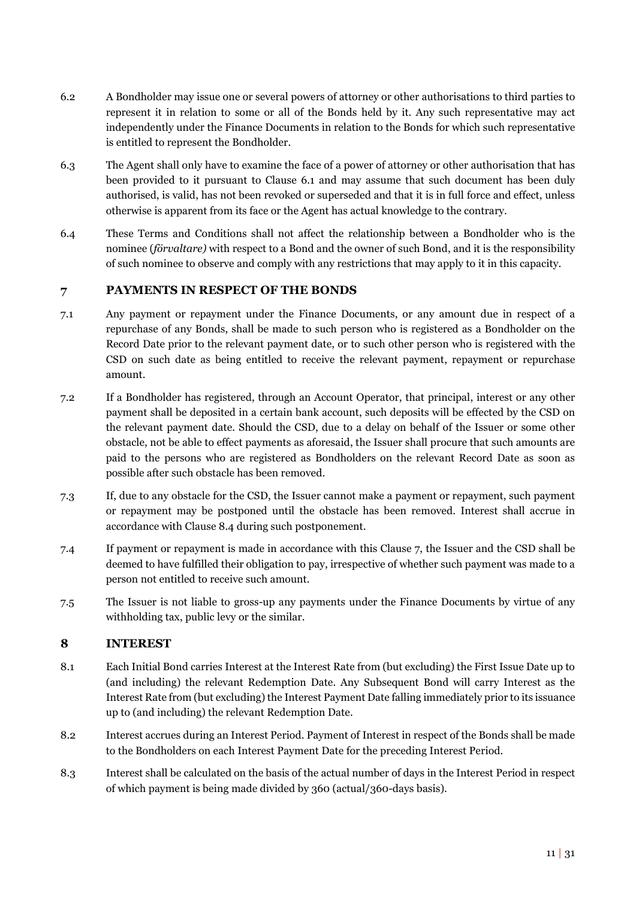- 6.2 A Bondholder may issue one or several powers of attorney or other authorisations to third parties to represent it in relation to some or all of the Bonds held by it. Any such representative may act independently under the Finance Documents in relation to the Bonds for which such representative is entitled to represent the Bondholder.
- 6.3 The Agent shall only have to examine the face of a power of attorney or other authorisation that has been provided to it pursuant to Clause [6.1](#page-12-5) and may assume that such document has been duly authorised, is valid, has not been revoked or superseded and that it is in full force and effect, unless otherwise is apparent from its face or the Agent has actual knowledge to the contrary.
- 6.4 These Terms and Conditions shall not affect the relationship between a Bondholder who is the nominee (*förvaltare)* with respect to a Bond and the owner of such Bond, and it is the responsibility of such nominee to observe and comply with any restrictions that may apply to it in this capacity.

# <span id="page-13-0"></span>**7 PAYMENTS IN RESPECT OF THE BONDS**

- <span id="page-13-4"></span>7.1 Any payment or repayment under the Finance Documents, or any amount due in respect of a repurchase of any Bonds, shall be made to such person who is registered as a Bondholder on the Record Date prior to the relevant payment date, or to such other person who is registered with the CSD on such date as being entitled to receive the relevant payment, repayment or repurchase amount.
- 7.2 If a Bondholder has registered, through an Account Operator, that principal, interest or any other payment shall be deposited in a certain bank account, such deposits will be effected by the CSD on the relevant payment date. Should the CSD, due to a delay on behalf of the Issuer or some other obstacle, not be able to effect payments as aforesaid, the Issuer shall procure that such amounts are paid to the persons who are registered as Bondholders on the relevant Record Date as soon as possible after such obstacle has been removed.
- 7.3 If, due to any obstacle for the CSD, the Issuer cannot make a payment or repayment, such payment or repayment may be postponed until the obstacle has been removed. Interest shall accrue in accordance with Clause [8.4 d](#page-14-1)uring such postponement.
- 7.4 If payment or repayment is made in accordance with this Clause 7, the Issuer and the CSD shall be deemed to have fulfilled their obligation to pay, irrespective of whether such payment was made to a person not entitled to receive such amount.
- 7.5 The Issuer is not liable to gross-up any payments under the Finance Documents by virtue of any withholding tax, public levy or the similar.

### <span id="page-13-1"></span>**8 INTEREST**

- <span id="page-13-2"></span>8.1 Each Initial Bond carries Interest at the Interest Rate from (but excluding) the First Issue Date up to (and including) the relevant Redemption Date. Any Subsequent Bond will carry Interest as the Interest Rate from (but excluding) the Interest Payment Date falling immediately prior to its issuance up to (and including) the relevant Redemption Date.
- 8.2 Interest accrues during an Interest Period. Payment of Interest in respect of the Bonds shall be made to the Bondholders on each Interest Payment Date for the preceding Interest Period.
- <span id="page-13-3"></span>8.3 Interest shall be calculated on the basis of the actual number of days in the Interest Period in respect of which payment is being made divided by 360 (actual/360-days basis).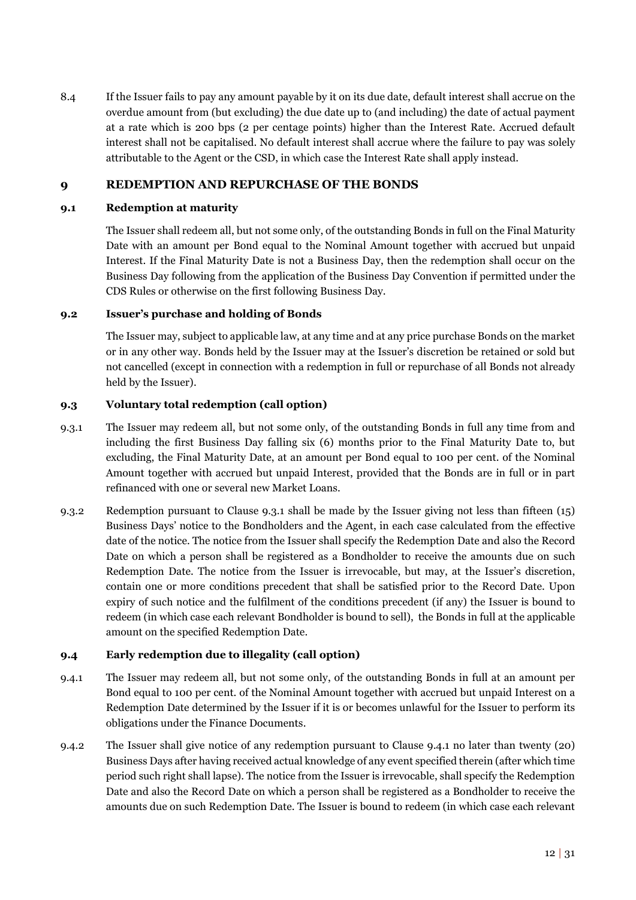<span id="page-14-1"></span>8.4 If the Issuer fails to pay any amount payable by it on its due date, default interest shall accrue on the overdue amount from (but excluding) the due date up to (and including) the date of actual payment at a rate which is 200 bps (2 per centage points) higher than the Interest Rate. Accrued default interest shall not be capitalised. No default interest shall accrue where the failure to pay was solely attributable to the Agent or the CSD, in which case the Interest Rate shall apply instead.

# <span id="page-14-0"></span>**9 REDEMPTION AND REPURCHASE OF THE BONDS**

#### **9.1 Redemption at maturity**

The Issuer shall redeem all, but not some only, of the outstanding Bonds in full on the Final Maturity Date with an amount per Bond equal to the Nominal Amount together with accrued but unpaid Interest. If the Final Maturity Date is not a Business Day, then the redemption shall occur on the Business Day following from the application of the Business Day Convention if permitted under the CDS Rules or otherwise on the first following Business Day.

#### **9.2 Issuer's purchase and holding of Bonds**

The Issuer may, subject to applicable law, at any time and at any price purchase Bonds on the market or in any other way. Bonds held by the Issuer may at the Issuer's discretion be retained or sold but not cancelled (except in connection with a redemption in full or repurchase of all Bonds not already held by the Issuer).

#### **9.3 Voluntary total redemption (call option)**

- <span id="page-14-2"></span>9.3.1 The Issuer may redeem all, but not some only, of the outstanding Bonds in full any time from and including the first Business Day falling six (6) months prior to the Final Maturity Date to, but excluding, the Final Maturity Date, at an amount per Bond equal to 100 per cent. of the Nominal Amount together with accrued but unpaid Interest, provided that the Bonds are in full or in part refinanced with one or several new Market Loans.
- 9.3.2 Redemption pursuant to Clause [9.3.1](#page-14-2) shall be made by the Issuer giving not less than fifteen (15) Business Days' notice to the Bondholders and the Agent, in each case calculated from the effective date of the notice. The notice from the Issuer shall specify the Redemption Date and also the Record Date on which a person shall be registered as a Bondholder to receive the amounts due on such Redemption Date. The notice from the Issuer is irrevocable, but may, at the Issuer's discretion, contain one or more conditions precedent that shall be satisfied prior to the Record Date. Upon expiry of such notice and the fulfilment of the conditions precedent (if any) the Issuer is bound to redeem (in which case each relevant Bondholder is bound to sell), the Bonds in full at the applicable amount on the specified Redemption Date.

### <span id="page-14-4"></span>**9.4 Early redemption due to illegality (call option)**

- <span id="page-14-3"></span>9.4.1 The Issuer may redeem all, but not some only, of the outstanding Bonds in full at an amount per Bond equal to 100 per cent. of the Nominal Amount together with accrued but unpaid Interest on a Redemption Date determined by the Issuer if it is or becomes unlawful for the Issuer to perform its obligations under the Finance Documents.
- 9.4.2 The Issuer shall give notice of any redemption pursuant to Clause [9.4.1](#page-14-3) no later than twenty (20) Business Days after having received actual knowledge of any event specified therein (after which time period such right shall lapse). The notice from the Issuer is irrevocable, shall specify the Redemption Date and also the Record Date on which a person shall be registered as a Bondholder to receive the amounts due on such Redemption Date. The Issuer is bound to redeem (in which case each relevant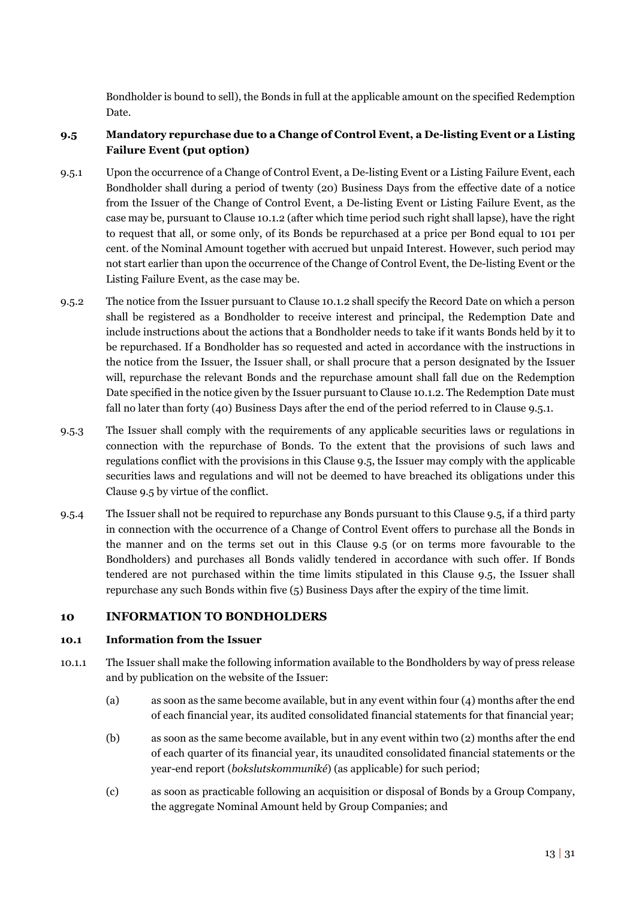Bondholder is bound to sell), the Bonds in full at the applicable amount on the specified Redemption Date.

# <span id="page-15-2"></span>**9.5 Mandatory repurchase due to a Change of Control Event, a De-listing Event or a Listing Failure Event (put option)**

- <span id="page-15-1"></span>9.5.1 Upon the occurrence of a Change of Control Event, a De-listing Event or a Listing Failure Event, each Bondholder shall during a period of twenty (20) Business Days from the effective date of a notice from the Issuer of the Change of Control Event, a De-listing Event or Listing Failure Event, as the case may be, pursuant to Clause [10.1.2 \(](#page-16-1)after which time period such right shall lapse), have the right to request that all, or some only, of its Bonds be repurchased at a price per Bond equal to 101 per cent. of the Nominal Amount together with accrued but unpaid Interest. However, such period may not start earlier than upon the occurrence of the Change of Control Event, the De-listing Event or the Listing Failure Event, as the case may be.
- 9.5.2 The notice from the Issuer pursuant to Clause [10.1.2 s](#page-16-1)hall specify the Record Date on which a person shall be registered as a Bondholder to receive interest and principal, the Redemption Date and include instructions about the actions that a Bondholder needs to take if it wants Bonds held by it to be repurchased. If a Bondholder has so requested and acted in accordance with the instructions in the notice from the Issuer, the Issuer shall, or shall procure that a person designated by the Issuer will, repurchase the relevant Bonds and the repurchase amount shall fall due on the Redemption Date specified in the notice given by the Issuer pursuant to Claus[e 10.1.2.](#page-16-1) The Redemption Date must fall no later than forty (40) Business Days after the end of the period referred to in Clause [9.5.1.](#page-15-1)
- 9.5.3 The Issuer shall comply with the requirements of any applicable securities laws or regulations in connection with the repurchase of Bonds. To the extent that the provisions of such laws and regulations conflict with the provisions in this Clause 9.5, the Issuer may comply with the applicable securities laws and regulations and will not be deemed to have breached its obligations under this Clause 9.5 by virtue of the conflict.
- 9.5.4 The Issuer shall not be required to repurchase any Bonds pursuant to this Clause 9.5, if a third party in connection with the occurrence of a Change of Control Event offers to purchase all the Bonds in the manner and on the terms set out in this Clause 9.5 (or on terms more favourable to the Bondholders) and purchases all Bonds validly tendered in accordance with such offer. If Bonds tendered are not purchased within the time limits stipulated in this Clause 9.5, the Issuer shall repurchase any such Bonds within five (5) Business Days after the expiry of the time limit.

### <span id="page-15-0"></span>**10 INFORMATION TO BONDHOLDERS**

#### **10.1 Information from the Issuer**

- 10.1.1 The Issuer shall make the following information available to the Bondholders by way of press release and by publication on the website of the Issuer:
	- (a) as soon as the same become available, but in any event within four (4) months after the end of each financial year, its audited consolidated financial statements for that financial year;
	- (b) as soon as the same become available, but in any event within two (2) months after the end of each quarter of its financial year, its unaudited consolidated financial statements or the year-end report (*bokslutskommuniké*) (as applicable) for such period;
	- (c) as soon as practicable following an acquisition or disposal of Bonds by a Group Company, the aggregate Nominal Amount held by Group Companies; and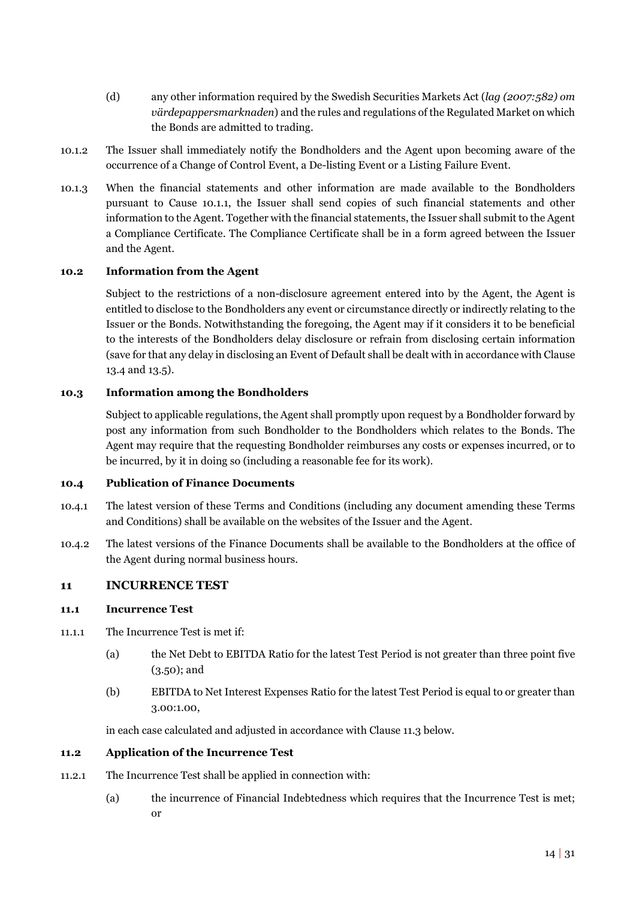- (d) any other information required by the Swedish Securities Markets Act (*lag (2007:582) om värdepappersmarknaden*) and the rules and regulations of the Regulated Market on which the Bonds are admitted to trading.
- <span id="page-16-1"></span>10.1.2 The Issuer shall immediately notify the Bondholders and the Agent upon becoming aware of the occurrence of a Change of Control Event, a De-listing Event or a Listing Failure Event.
- 10.1.3 When the financial statements and other information are made available to the Bondholders pursuant to Cause 10.1.1, the Issuer shall send copies of such financial statements and other information to the Agent. Together with the financial statements, the Issuer shall submit to the Agent a Compliance Certificate. The Compliance Certificate shall be in a form agreed between the Issuer and the Agent.

#### **10.2 Information from the Agent**

Subject to the restrictions of a non-disclosure agreement entered into by the Agent, the Agent is entitled to disclose to the Bondholders any event or circumstance directly or indirectly relating to the Issuer or the Bonds. Notwithstanding the foregoing, the Agent may if it considers it to be beneficial to the interests of the Bondholders delay disclosure or refrain from disclosing certain information (save for that any delay in disclosing an Event of Default shall be dealt with in accordance with Clause [13.4 a](#page-21-1)nd [13.5\)](#page-21-2).

#### **10.3 Information among the Bondholders**

Subject to applicable regulations, the Agent shall promptly upon request by a Bondholder forward by post any information from such Bondholder to the Bondholders which relates to the Bonds. The Agent may require that the requesting Bondholder reimburses any costs or expenses incurred, or to be incurred, by it in doing so (including a reasonable fee for its work).

#### <span id="page-16-2"></span>**10.4 Publication of Finance Documents**

- 10.4.1 The latest version of these Terms and Conditions (including any document amending these Terms and Conditions) shall be available on the websites of the Issuer and the Agent.
- 10.4.2 The latest versions of the Finance Documents shall be available to the Bondholders at the office of the Agent during normal business hours.

#### <span id="page-16-0"></span>**11 INCURRENCE TEST**

#### **11.1 Incurrence Test**

- 11.1.1 The Incurrence Test is met if:
	- (a) the Net Debt to EBITDA Ratio for the latest Test Period is not greater than three point five (3.50); and
	- (b) EBITDA to Net Interest Expenses Ratio for the latest Test Period is equal to or greater than 3.00:1.00,

in each case calculated and adjusted in accordance with Claus[e 11.3 b](#page-17-1)elow.

#### **11.2 Application of the Incurrence Test**

- 11.2.1 The Incurrence Test shall be applied in connection with:
	- (a) the incurrence of Financial Indebtedness which requires that the Incurrence Test is met; or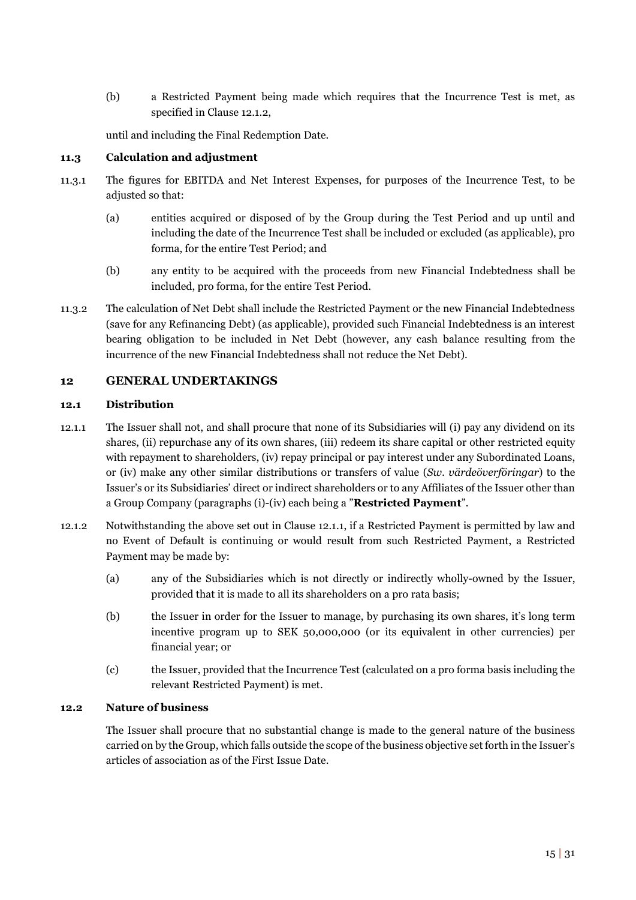(b) a Restricted Payment being made which requires that the Incurrence Test is met, as specified in Clause [12.1.2,](#page-17-2) 

until and including the Final Redemption Date.

#### <span id="page-17-1"></span>**11.3 Calculation and adjustment**

- 11.3.1 The figures for EBITDA and Net Interest Expenses, for purposes of the Incurrence Test, to be adjusted so that:
	- (a) entities acquired or disposed of by the Group during the Test Period and up until and including the date of the Incurrence Test shall be included or excluded (as applicable), pro forma, for the entire Test Period; and
	- (b) any entity to be acquired with the proceeds from new Financial Indebtedness shall be included, pro forma, for the entire Test Period.
- 11.3.2 The calculation of Net Debt shall include the Restricted Payment or the new Financial Indebtedness (save for any Refinancing Debt) (as applicable), provided such Financial Indebtedness is an interest bearing obligation to be included in Net Debt (however, any cash balance resulting from the incurrence of the new Financial Indebtedness shall not reduce the Net Debt).

### <span id="page-17-0"></span>**12 GENERAL UNDERTAKINGS**

#### **12.1 Distribution**

- <span id="page-17-3"></span>12.1.1 The Issuer shall not, and shall procure that none of its Subsidiaries will (i) pay any dividend on its shares, (ii) repurchase any of its own shares, (iii) redeem its share capital or other restricted equity with repayment to shareholders, (iv) repay principal or pay interest under any Subordinated Loans, or (iv) make any other similar distributions or transfers of value (*Sw. värdeöverföringar*) to the Issuer's or its Subsidiaries' direct or indirect shareholders or to any Affiliates of the Issuer other than a Group Company (paragraphs (i)-(iv) each being a "**Restricted Payment**".
- <span id="page-17-2"></span>12.1.2 Notwithstanding the above set out in Clause [12.1.1,](#page-17-3) if a Restricted Payment is permitted by law and no Event of Default is continuing or would result from such Restricted Payment, a Restricted Payment may be made by:
	- (a) any of the Subsidiaries which is not directly or indirectly wholly-owned by the Issuer, provided that it is made to all its shareholders on a pro rata basis;
	- (b) the Issuer in order for the Issuer to manage, by purchasing its own shares, it's long term incentive program up to SEK 50,000,000 (or its equivalent in other currencies) per financial year; or
	- (c) the Issuer, provided that the Incurrence Test (calculated on a pro forma basis including the relevant Restricted Payment) is met.

#### **12.2 Nature of business**

The Issuer shall procure that no substantial change is made to the general nature of the business carried on by the Group, which falls outside the scope of the business objective set forth in the Issuer's articles of association as of the First Issue Date.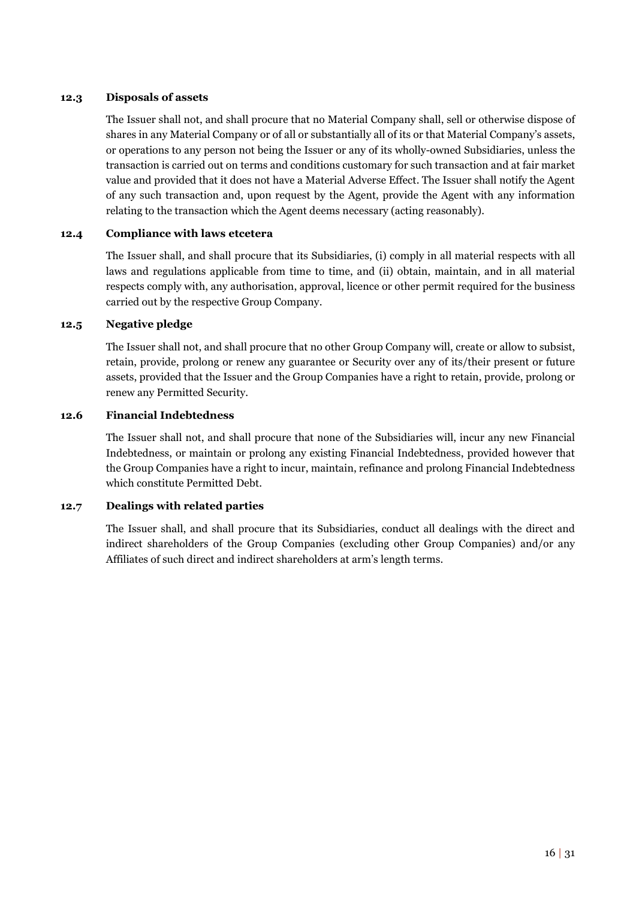#### **12.3 Disposals of assets**

The Issuer shall not, and shall procure that no Material Company shall, sell or otherwise dispose of shares in any Material Company or of all or substantially all of its or that Material Company's assets, or operations to any person not being the Issuer or any of its wholly-owned Subsidiaries, unless the transaction is carried out on terms and conditions customary for such transaction and at fair market value and provided that it does not have a Material Adverse Effect. The Issuer shall notify the Agent of any such transaction and, upon request by the Agent, provide the Agent with any information relating to the transaction which the Agent deems necessary (acting reasonably).

#### **12.4 Compliance with laws etcetera**

The Issuer shall, and shall procure that its Subsidiaries, (i) comply in all material respects with all laws and regulations applicable from time to time, and (ii) obtain, maintain, and in all material respects comply with, any authorisation, approval, licence or other permit required for the business carried out by the respective Group Company.

#### **12.5 Negative pledge**

The Issuer shall not, and shall procure that no other Group Company will, create or allow to subsist, retain, provide, prolong or renew any guarantee or Security over any of its/their present or future assets, provided that the Issuer and the Group Companies have a right to retain, provide, prolong or renew any Permitted Security.

#### **12.6 Financial Indebtedness**

The Issuer shall not, and shall procure that none of the Subsidiaries will, incur any new Financial Indebtedness, or maintain or prolong any existing Financial Indebtedness, provided however that the Group Companies have a right to incur, maintain, refinance and prolong Financial Indebtedness which constitute Permitted Debt.

#### **12.7 Dealings with related parties**

The Issuer shall, and shall procure that its Subsidiaries, conduct all dealings with the direct and indirect shareholders of the Group Companies (excluding other Group Companies) and/or any Affiliates of such direct and indirect shareholders at arm's length terms.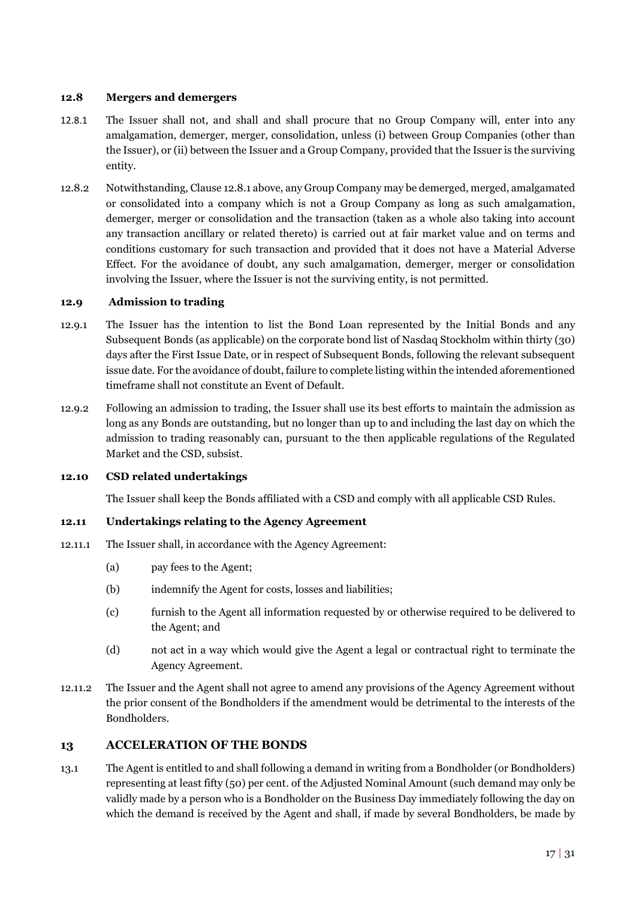#### **12.8 Mergers and demergers**

- 12.8.1 The Issuer shall not, and shall and shall procure that no Group Company will, enter into any amalgamation, demerger, merger, consolidation, unless (i) between Group Companies (other than the Issuer), or (ii) between the Issuer and a Group Company, provided that the Issuer is the surviving entity.
- 12.8.2 Notwithstanding, Clause 12.8.1 above, any Group Company may be demerged, merged, amalgamated or consolidated into a company which is not a Group Company as long as such amalgamation, demerger, merger or consolidation and the transaction (taken as a whole also taking into account any transaction ancillary or related thereto) is carried out at fair market value and on terms and conditions customary for such transaction and provided that it does not have a Material Adverse Effect. For the avoidance of doubt, any such amalgamation, demerger, merger or consolidation involving the Issuer, where the Issuer is not the surviving entity, is not permitted.

#### **12.9 Admission to trading**

- 12.9.1 The Issuer has the intention to list the Bond Loan represented by the Initial Bonds and any Subsequent Bonds (as applicable) on the corporate bond list of Nasdaq Stockholm within thirty (30) days after the First Issue Date, or in respect of Subsequent Bonds, following the relevant subsequent issue date. For the avoidance of doubt, failure to complete listing within the intended aforementioned timeframe shall not constitute an Event of Default.
- 12.9.2 Following an admission to trading, the Issuer shall use its best efforts to maintain the admission as long as any Bonds are outstanding, but no longer than up to and including the last day on which the admission to trading reasonably can, pursuant to the then applicable regulations of the Regulated Market and the CSD, subsist.

#### **12.10 CSD related undertakings**

The Issuer shall keep the Bonds affiliated with a CSD and comply with all applicable CSD Rules.

### **12.11 Undertakings relating to the Agency Agreement**

- 12.11.1 The Issuer shall, in accordance with the Agency Agreement:
	- (a) pay fees to the Agent;
	- (b) indemnify the Agent for costs, losses and liabilities;
	- (c) furnish to the Agent all information requested by or otherwise required to be delivered to the Agent; and
	- (d) not act in a way which would give the Agent a legal or contractual right to terminate the Agency Agreement.
- 12.11.2 The Issuer and the Agent shall not agree to amend any provisions of the Agency Agreement without the prior consent of the Bondholders if the amendment would be detrimental to the interests of the Bondholders.

### <span id="page-19-0"></span>**13 ACCELERATION OF THE BONDS**

<span id="page-19-1"></span>13.1 The Agent is entitled to and shall following a demand in writing from a Bondholder (or Bondholders) representing at least fifty (50) per cent. of the Adjusted Nominal Amount (such demand may only be validly made by a person who is a Bondholder on the Business Day immediately following the day on which the demand is received by the Agent and shall, if made by several Bondholders, be made by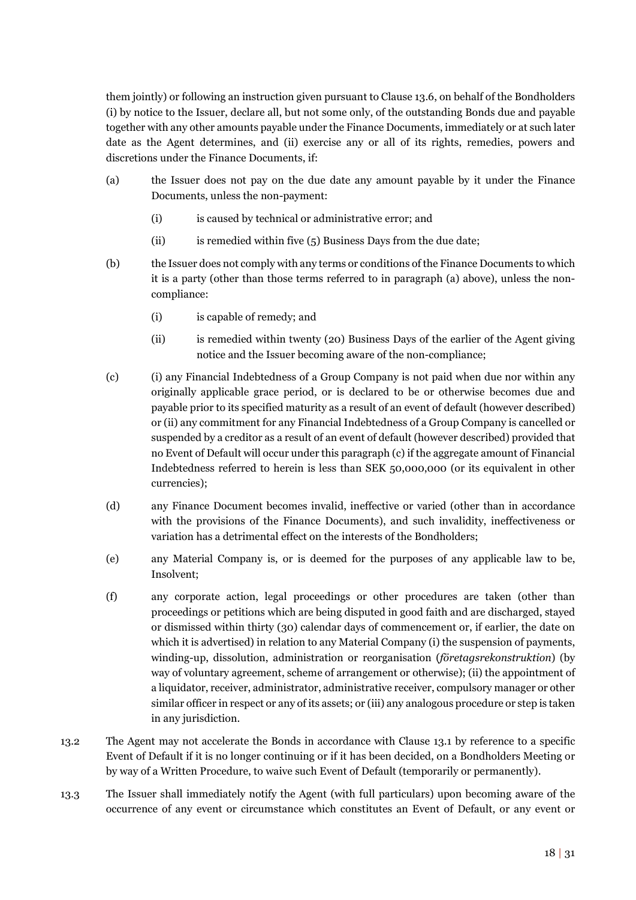them jointly) or following an instruction given pursuant to Claus[e 13.6,](#page-21-3) on behalf of the Bondholders (i) by notice to the Issuer, declare all, but not some only, of the outstanding Bonds due and payable together with any other amounts payable under the Finance Documents, immediately or at such later date as the Agent determines, and (ii) exercise any or all of its rights, remedies, powers and discretions under the Finance Documents, if:

- (a) the Issuer does not pay on the due date any amount payable by it under the Finance Documents, unless the non-payment:
	- (i) is caused by technical or administrative error; and
	- $(iii)$  is remedied within five  $(5)$  Business Days from the due date;
- (b) the Issuer does not comply with any terms or conditions of the Finance Documents to which it is a party (other than those terms referred to in paragraph (a) above), unless the noncompliance:
	- (i) is capable of remedy; and
	- (ii) is remedied within twenty (20) Business Days of the earlier of the Agent giving notice and the Issuer becoming aware of the non-compliance;
- (c) (i) any Financial Indebtedness of a Group Company is not paid when due nor within any originally applicable grace period, or is declared to be or otherwise becomes due and payable prior to its specified maturity as a result of an event of default (however described) or (ii) any commitment for any Financial Indebtedness of a Group Company is cancelled or suspended by a creditor as a result of an event of default (however described) provided that no Event of Default will occur under this paragraph (c) if the aggregate amount of Financial Indebtedness referred to herein is less than SEK 50,000,000 (or its equivalent in other currencies);
- (d) any Finance Document becomes invalid, ineffective or varied (other than in accordance with the provisions of the Finance Documents), and such invalidity, ineffectiveness or variation has a detrimental effect on the interests of the Bondholders;
- (e) any Material Company is, or is deemed for the purposes of any applicable law to be, Insolvent;
- (f) any corporate action, legal proceedings or other procedures are taken (other than proceedings or petitions which are being disputed in good faith and are discharged, stayed or dismissed within thirty (30) calendar days of commencement or, if earlier, the date on which it is advertised) in relation to any Material Company (i) the suspension of payments, winding-up, dissolution, administration or reorganisation (*företagsrekonstruktion*) (by way of voluntary agreement, scheme of arrangement or otherwise); (ii) the appointment of a liquidator, receiver, administrator, administrative receiver, compulsory manager or other similar officer in respect or any of its assets; or (iii) any analogous procedure or step is taken in any jurisdiction.
- 13.2 The Agent may not accelerate the Bonds in accordance with Clause [13.1](#page-19-1) by reference to a specific Event of Default if it is no longer continuing or if it has been decided, on a Bondholders Meeting or by way of a Written Procedure, to waive such Event of Default (temporarily or permanently).
- 13.3 The Issuer shall immediately notify the Agent (with full particulars) upon becoming aware of the occurrence of any event or circumstance which constitutes an Event of Default, or any event or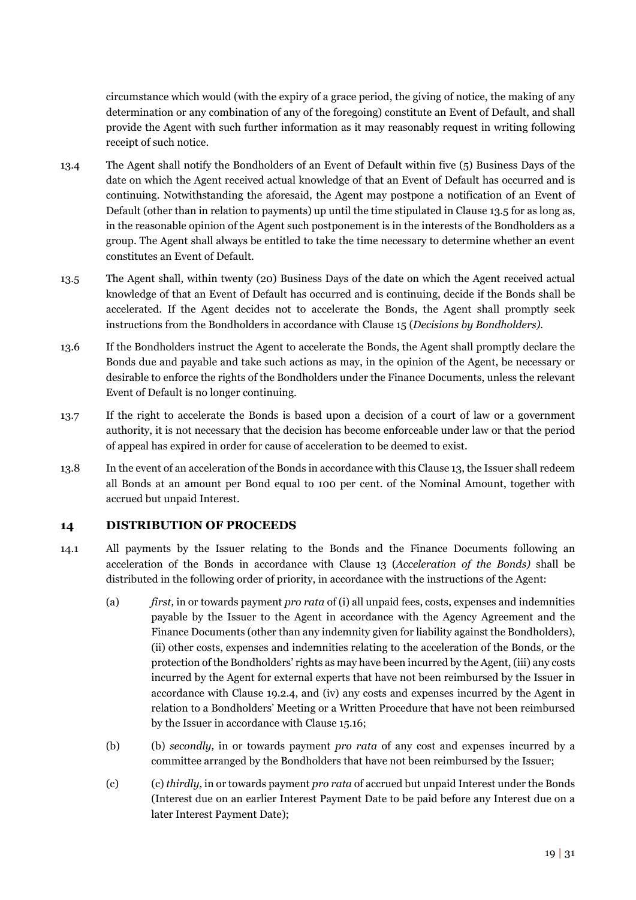circumstance which would (with the expiry of a grace period, the giving of notice, the making of any determination or any combination of any of the foregoing) constitute an Event of Default, and shall provide the Agent with such further information as it may reasonably request in writing following receipt of such notice.

- <span id="page-21-1"></span>13.4 The Agent shall notify the Bondholders of an Event of Default within five (5) Business Days of the date on which the Agent received actual knowledge of that an Event of Default has occurred and is continuing. Notwithstanding the aforesaid, the Agent may postpone a notification of an Event of Default (other than in relation to payments) up until the time stipulated in Claus[e 13.5](#page-21-2) for as long as, in the reasonable opinion of the Agent such postponement is in the interests of the Bondholders as a group. The Agent shall always be entitled to take the time necessary to determine whether an event constitutes an Event of Default.
- <span id="page-21-2"></span>13.5 The Agent shall, within twenty (20) Business Days of the date on which the Agent received actual knowledge of that an Event of Default has occurred and is continuing, decide if the Bonds shall be accelerated. If the Agent decides not to accelerate the Bonds, the Agent shall promptly seek instructions from the Bondholders in accordance with Clause [15](#page-22-0) (*Decisions by Bondholders).*
- <span id="page-21-3"></span>13.6 If the Bondholders instruct the Agent to accelerate the Bonds, the Agent shall promptly declare the Bonds due and payable and take such actions as may, in the opinion of the Agent, be necessary or desirable to enforce the rights of the Bondholders under the Finance Documents, unless the relevant Event of Default is no longer continuing.
- 13.7 If the right to accelerate the Bonds is based upon a decision of a court of law or a government authority, it is not necessary that the decision has become enforceable under law or that the period of appeal has expired in order for cause of acceleration to be deemed to exist.
- 13.8 In the event of an acceleration of the Bonds in accordance with this Clause 13, the Issuer shall redeem all Bonds at an amount per Bond equal to 100 per cent. of the Nominal Amount, together with accrued but unpaid Interest.

### <span id="page-21-0"></span>**14 DISTRIBUTION OF PROCEEDS**

- <span id="page-21-5"></span><span id="page-21-4"></span>14.1 All payments by the Issuer relating to the Bonds and the Finance Documents following an acceleration of the Bonds in accordance with Clause [13](#page-19-0) (*Acceleration of the Bonds)* shall be distributed in the following order of priority, in accordance with the instructions of the Agent:
	- (a) *first,* in or towards payment *pro rata* of (i) all unpaid fees, costs, expenses and indemnities payable by the Issuer to the Agent in accordance with the Agency Agreement and the Finance Documents (other than any indemnity given for liability against the Bondholders), (ii) other costs, expenses and indemnities relating to the acceleration of the Bonds, or the protection of the Bondholders' rights as may have been incurred by the Agent, (iii) any costs incurred by the Agent for external experts that have not been reimbursed by the Issuer in accordance with Clause [19.2.4,](#page-27-0) and (iv) any costs and expenses incurred by the Agent in relation to a Bondholders' Meeting or a Written Procedure that have not been reimbursed by the Issuer in accordance with Clause [15.16;](#page-24-0)
	- (b) (b) *secondly,* in or towards payment *pro rata* of any cost and expenses incurred by a committee arranged by the Bondholders that have not been reimbursed by the Issuer;
	- (c) (c) *thirdly,* in or towards payment *pro rata* of accrued but unpaid Interest under the Bonds (Interest due on an earlier Interest Payment Date to be paid before any Interest due on a later Interest Payment Date);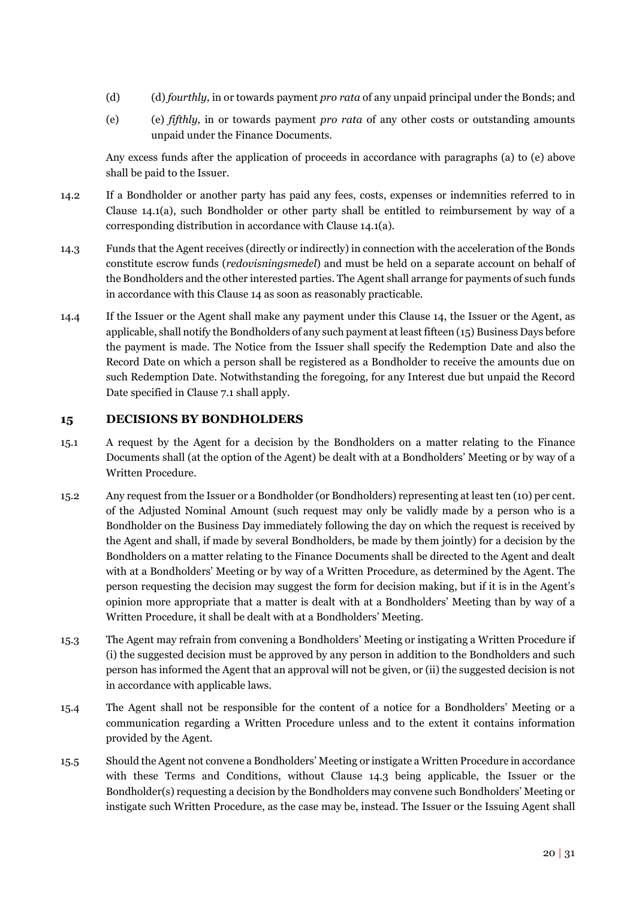- (d) (d) *fourthly,* in or towards payment *pro rata* of any unpaid principal under the Bonds; and
- (e) (e) *fifthly,* in or towards payment *pro rata* of any other costs or outstanding amounts unpaid under the Finance Documents.

Any excess funds after the application of proceeds in accordance with paragraphs (a) to (e) above shall be paid to the Issuer.

- 14.2 If a Bondholder or another party has paid any fees, costs, expenses or indemnities referred to in Clause [14.1](#page-21-4)[\(a\),](#page-21-5) such Bondholder or other party shall be entitled to reimbursement by way of a corresponding distribution in accordance with Claus[e 14.1](#page-21-4)[\(a\).](#page-21-5)
- <span id="page-22-1"></span>14.3 Funds that the Agent receives (directly or indirectly) in connection with the acceleration of the Bonds constitute escrow funds (*redovisningsmedel*) and must be held on a separate account on behalf of the Bondholders and the other interested parties. The Agent shall arrange for payments of such funds in accordance with this Clause 14 as soon as reasonably practicable.
- 14.4 If the Issuer or the Agent shall make any payment under this Clause 14, the Issuer or the Agent, as applicable, shall notify the Bondholders of any such payment at least fifteen (15) Business Days before the payment is made. The Notice from the Issuer shall specify the Redemption Date and also the Record Date on which a person shall be registered as a Bondholder to receive the amounts due on such Redemption Date. Notwithstanding the foregoing, for any Interest due but unpaid the Record Date specified in Clause [7.1](#page-13-4) shall apply.

### <span id="page-22-0"></span>**15 DECISIONS BY BONDHOLDERS**

- 15.1 A request by the Agent for a decision by the Bondholders on a matter relating to the Finance Documents shall (at the option of the Agent) be dealt with at a Bondholders' Meeting or by way of a Written Procedure.
- 15.2 Any request from the Issuer or a Bondholder (or Bondholders) representing at least ten (10) per cent. of the Adjusted Nominal Amount (such request may only be validly made by a person who is a Bondholder on the Business Day immediately following the day on which the request is received by the Agent and shall, if made by several Bondholders, be made by them jointly) for a decision by the Bondholders on a matter relating to the Finance Documents shall be directed to the Agent and dealt with at a Bondholders' Meeting or by way of a Written Procedure, as determined by the Agent. The person requesting the decision may suggest the form for decision making, but if it is in the Agent's opinion more appropriate that a matter is dealt with at a Bondholders' Meeting than by way of a Written Procedure, it shall be dealt with at a Bondholders' Meeting.
- 15.3 The Agent may refrain from convening a Bondholders' Meeting or instigating a Written Procedure if (i) the suggested decision must be approved by any person in addition to the Bondholders and such person has informed the Agent that an approval will not be given, or (ii) the suggested decision is not in accordance with applicable laws.
- 15.4 The Agent shall not be responsible for the content of a notice for a Bondholders' Meeting or a communication regarding a Written Procedure unless and to the extent it contains information provided by the Agent.
- 15.5 Should the Agent not convene a Bondholders' Meeting or instigate a Written Procedure in accordance with these Terms and Conditions, without Clause [14.3](#page-22-1) being applicable, the Issuer or the Bondholder(s) requesting a decision by the Bondholders may convene such Bondholders' Meeting or instigate such Written Procedure, as the case may be, instead. The Issuer or the Issuing Agent shall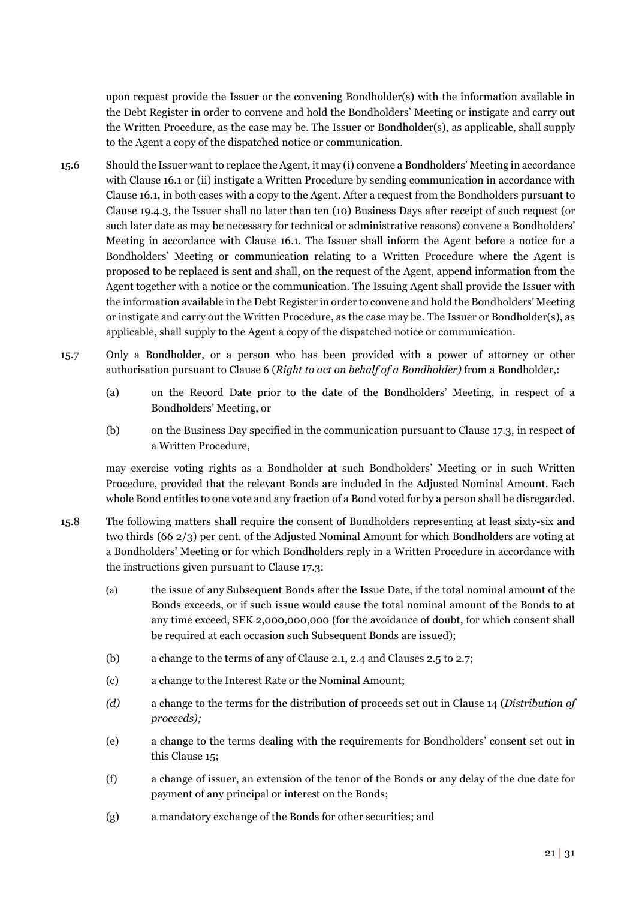upon request provide the Issuer or the convening Bondholder(s) with the information available in the Debt Register in order to convene and hold the Bondholders' Meeting or instigate and carry out the Written Procedure, as the case may be. The Issuer or Bondholder(s), as applicable, shall supply to the Agent a copy of the dispatched notice or communication.

- 15.6 Should the Issuer want to replace the Agent, it may (i) convene a Bondholders' Meeting in accordance with Clause [16.1](#page-25-2) or (ii) instigate a Written Procedure by sending communication in accordance with Claus[e 16.1,](#page-25-2) in both cases with a copy to the Agent. After a request from the Bondholders pursuant to Clause [19.4.3,](#page-29-0) the Issuer shall no later than ten (10) Business Days after receipt of such request (or such later date as may be necessary for technical or administrative reasons) convene a Bondholders' Meeting in accordance with Clause [16.1.](#page-25-2) The Issuer shall inform the Agent before a notice for a Bondholders' Meeting or communication relating to a Written Procedure where the Agent is proposed to be replaced is sent and shall, on the request of the Agent, append information from the Agent together with a notice or the communication. The Issuing Agent shall provide the Issuer with the information available in the Debt Register in order to convene and hold the Bondholders' Meeting or instigate and carry out the Written Procedure, as the case may be. The Issuer or Bondholder(s), as applicable, shall supply to the Agent a copy of the dispatched notice or communication.
- 15.7 Only a Bondholder, or a person who has been provided with a power of attorney or other authorisation pursuant to Claus[e 6](#page-12-1) (*Right to act on behalf of a Bondholder)* from a Bondholder,:
	- (a) on the Record Date prior to the date of the Bondholders' Meeting, in respect of a Bondholders' Meeting, or
	- (b) on the Business Day specified in the communication pursuant to Clause [17.3,](#page-25-3) in respect of a Written Procedure,

may exercise voting rights as a Bondholder at such Bondholders' Meeting or in such Written Procedure, provided that the relevant Bonds are included in the Adjusted Nominal Amount. Each whole Bond entitles to one vote and any fraction of a Bond voted for by a person shall be disregarded.

- <span id="page-23-0"></span>15.8 The following matters shall require the consent of Bondholders representing at least sixty-six and two thirds (66 2/3) per cent. of the Adjusted Nominal Amount for which Bondholders are voting at a Bondholders' Meeting or for which Bondholders reply in a Written Procedure in accordance with the instructions given pursuant to Claus[e 17.3:](#page-25-3)
	- (a) the issue of any Subsequent Bonds after the Issue Date, if the total nominal amount of the Bonds exceeds, or if such issue would cause the total nominal amount of the Bonds to at any time exceed, SEK 2,000,000,000 (for the avoidance of doubt, for which consent shall be required at each occasion such Subsequent Bonds are issued);
	- (b) a change to the terms of any of Claus[e 2.1,](#page-10-2) [2.4](#page-10-3) and Clause[s 2.5](#page-11-3) to [2.7;](#page-11-4)
	- (c) a change to the Interest Rate or the Nominal Amount;
	- *(d)* a change to the terms for the distribution of proceeds set out in Clause [14](#page-21-0) (*Distribution of proceeds);*
	- (e) a change to the terms dealing with the requirements for Bondholders' consent set out in this Clause 15;
	- (f) a change of issuer, an extension of the tenor of the Bonds or any delay of the due date for payment of any principal or interest on the Bonds;
	- (g) a mandatory exchange of the Bonds for other securities; and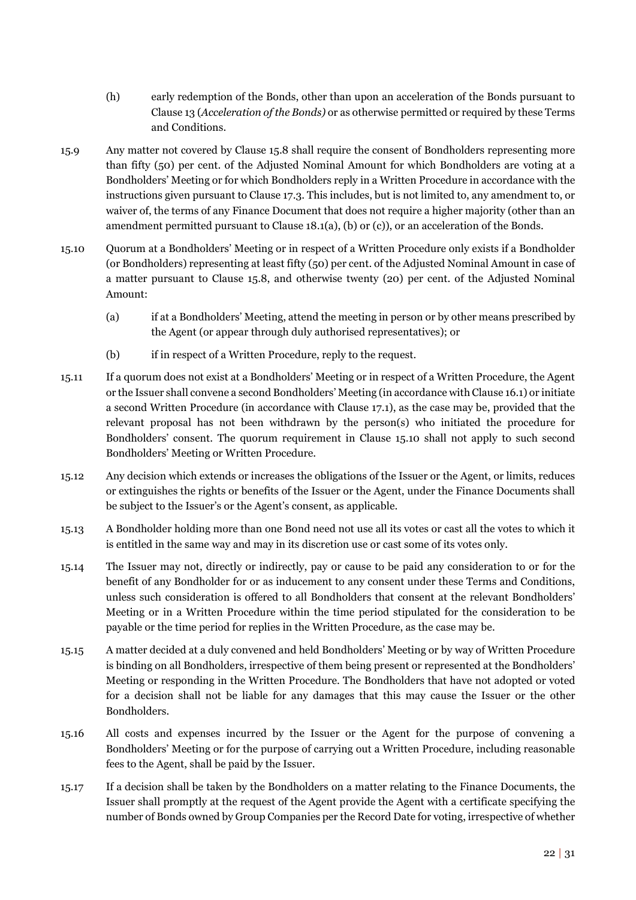- (h) early redemption of the Bonds, other than upon an acceleration of the Bonds pursuant to Clause [13 \(](#page-19-0)*Acceleration of the Bonds)* or as otherwise permitted or required by these Terms and Conditions.
- 15.9 Any matter not covered by Clause [15.8 s](#page-23-0)hall require the consent of Bondholders representing more than fifty (50) per cent. of the Adjusted Nominal Amount for which Bondholders are voting at a Bondholders' Meeting or for which Bondholders reply in a Written Procedure in accordance with the instructions given pursuant to Clause [17.3.](#page-25-3) This includes, but is not limited to, any amendment to, or waiver of, the terms of any Finance Document that does not require a higher majority (other than an amendment permitted pursuant to Claus[e 18.1](#page-26-2)[\(a\),](#page-26-3) [\(b\) o](#page-26-4)r [\(c\)\)](#page-26-5), or an acceleration of the Bonds.
- <span id="page-24-1"></span>15.10 Quorum at a Bondholders' Meeting or in respect of a Written Procedure only exists if a Bondholder (or Bondholders) representing at least fifty (50) per cent. of the Adjusted Nominal Amount in case of a matter pursuant to Clause [15.8,](#page-23-0) and otherwise twenty (20) per cent. of the Adjusted Nominal Amount:
	- (a) if at a Bondholders' Meeting, attend the meeting in person or by other means prescribed by the Agent (or appear through duly authorised representatives); or
	- (b) if in respect of a Written Procedure, reply to the request.
- 15.11 If a quorum does not exist at a Bondholders' Meeting or in respect of a Written Procedure, the Agent or the Issuer shall convene a second Bondholders' Meeting (in accordance with Claus[e 16.1\)](#page-25-2) or initiate a second Written Procedure (in accordance with Clause [17.1\)](#page-25-4), as the case may be, provided that the relevant proposal has not been withdrawn by the person(s) who initiated the procedure for Bondholders' consent. The quorum requirement in Clause [15.10](#page-24-1) shall not apply to such second Bondholders' Meeting or Written Procedure.
- 15.12 Any decision which extends or increases the obligations of the Issuer or the Agent, or limits, reduces or extinguishes the rights or benefits of the Issuer or the Agent, under the Finance Documents shall be subject to the Issuer's or the Agent's consent, as applicable.
- 15.13 A Bondholder holding more than one Bond need not use all its votes or cast all the votes to which it is entitled in the same way and may in its discretion use or cast some of its votes only.
- 15.14 The Issuer may not, directly or indirectly, pay or cause to be paid any consideration to or for the benefit of any Bondholder for or as inducement to any consent under these Terms and Conditions, unless such consideration is offered to all Bondholders that consent at the relevant Bondholders' Meeting or in a Written Procedure within the time period stipulated for the consideration to be payable or the time period for replies in the Written Procedure, as the case may be.
- 15.15 A matter decided at a duly convened and held Bondholders' Meeting or by way of Written Procedure is binding on all Bondholders, irrespective of them being present or represented at the Bondholders' Meeting or responding in the Written Procedure. The Bondholders that have not adopted or voted for a decision shall not be liable for any damages that this may cause the Issuer or the other Bondholders.
- <span id="page-24-0"></span>15.16 All costs and expenses incurred by the Issuer or the Agent for the purpose of convening a Bondholders' Meeting or for the purpose of carrying out a Written Procedure, including reasonable fees to the Agent, shall be paid by the Issuer.
- 15.17 If a decision shall be taken by the Bondholders on a matter relating to the Finance Documents, the Issuer shall promptly at the request of the Agent provide the Agent with a certificate specifying the number of Bonds owned by Group Companies per the Record Date for voting, irrespective of whether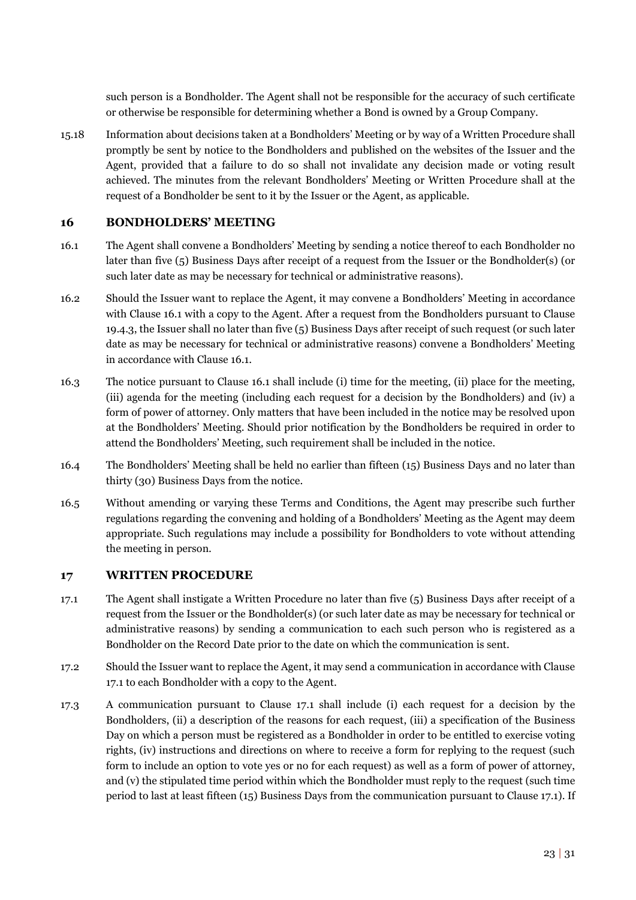such person is a Bondholder. The Agent shall not be responsible for the accuracy of such certificate or otherwise be responsible for determining whether a Bond is owned by a Group Company.

<span id="page-25-5"></span>15.18 Information about decisions taken at a Bondholders' Meeting or by way of a Written Procedure shall promptly be sent by notice to the Bondholders and published on the websites of the Issuer and the Agent, provided that a failure to do so shall not invalidate any decision made or voting result achieved. The minutes from the relevant Bondholders' Meeting or Written Procedure shall at the request of a Bondholder be sent to it by the Issuer or the Agent, as applicable.

# <span id="page-25-0"></span>**16 BONDHOLDERS' MEETING**

- <span id="page-25-2"></span>16.1 The Agent shall convene a Bondholders' Meeting by sending a notice thereof to each Bondholder no later than five (5) Business Days after receipt of a request from the Issuer or the Bondholder(s) (or such later date as may be necessary for technical or administrative reasons).
- 16.2 Should the Issuer want to replace the Agent, it may convene a Bondholders' Meeting in accordance with Clause [16.1](#page-25-2) with a copy to the Agent. After a request from the Bondholders pursuant to Clause [19.4.3,](#page-29-0) the Issuer shall no later than five (5) Business Days after receipt of such request (or such later date as may be necessary for technical or administrative reasons) convene a Bondholders' Meeting in accordance with Clause [16.1.](#page-25-2)
- 16.3 The notice pursuant to Clause [16.1](#page-25-2) shall include (i) time for the meeting, (ii) place for the meeting, (iii) agenda for the meeting (including each request for a decision by the Bondholders) and (iv) a form of power of attorney. Only matters that have been included in the notice may be resolved upon at the Bondholders' Meeting. Should prior notification by the Bondholders be required in order to attend the Bondholders' Meeting, such requirement shall be included in the notice.
- 16.4 The Bondholders' Meeting shall be held no earlier than fifteen (15) Business Days and no later than thirty (30) Business Days from the notice.
- 16.5 Without amending or varying these Terms and Conditions, the Agent may prescribe such further regulations regarding the convening and holding of a Bondholders' Meeting as the Agent may deem appropriate. Such regulations may include a possibility for Bondholders to vote without attending the meeting in person.

# <span id="page-25-1"></span>**17 WRITTEN PROCEDURE**

- <span id="page-25-4"></span>17.1 The Agent shall instigate a Written Procedure no later than five (5) Business Days after receipt of a request from the Issuer or the Bondholder(s) (or such later date as may be necessary for technical or administrative reasons) by sending a communication to each such person who is registered as a Bondholder on the Record Date prior to the date on which the communication is sent.
- 17.2 Should the Issuer want to replace the Agent, it may send a communication in accordance with Clause [17.1 t](#page-25-4)o each Bondholder with a copy to the Agent.
- <span id="page-25-3"></span>17.3 A communication pursuant to Clause [17.1](#page-25-4) shall include (i) each request for a decision by the Bondholders, (ii) a description of the reasons for each request, (iii) a specification of the Business Day on which a person must be registered as a Bondholder in order to be entitled to exercise voting rights, (iv) instructions and directions on where to receive a form for replying to the request (such form to include an option to vote yes or no for each request) as well as a form of power of attorney, and (v) the stipulated time period within which the Bondholder must reply to the request (such time period to last at least fifteen (15) Business Days from the communication pursuant to Clause [17.1\)](#page-25-4). If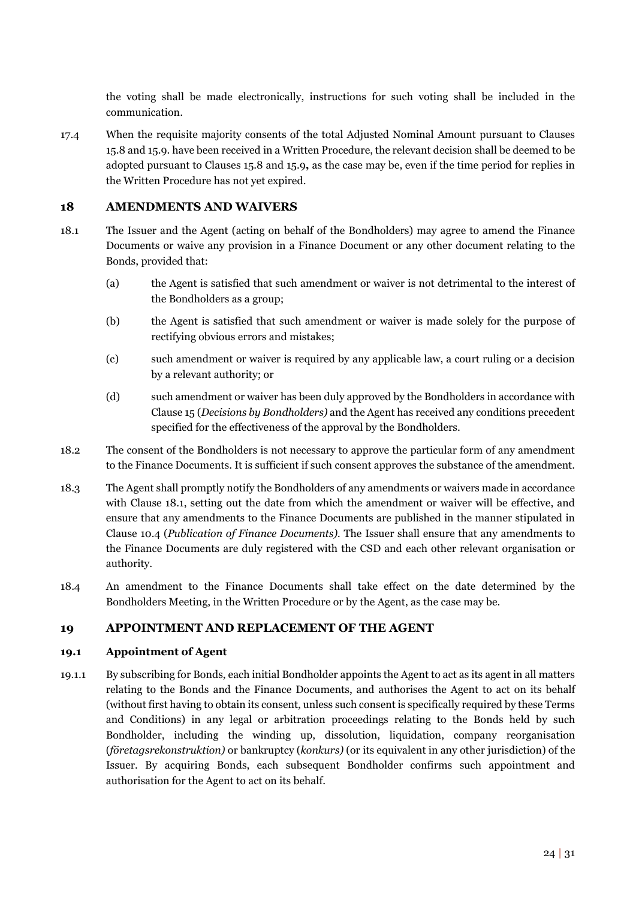the voting shall be made electronically, instructions for such voting shall be included in the communication.

17.4 When the requisite majority consents of the total Adjusted Nominal Amount pursuant to Clauses 15.8 and 15.9. have been received in a Written Procedure, the relevant decision shall be deemed to be adopted pursuant to Clauses 15.8 and 15.9**,** as the case may be, even if the time period for replies in the Written Procedure has not yet expired.

# <span id="page-26-0"></span>**18 AMENDMENTS AND WAIVERS**

- <span id="page-26-4"></span><span id="page-26-3"></span><span id="page-26-2"></span>18.1 The Issuer and the Agent (acting on behalf of the Bondholders) may agree to amend the Finance Documents or waive any provision in a Finance Document or any other document relating to the Bonds, provided that:
	- (a) the Agent is satisfied that such amendment or waiver is not detrimental to the interest of the Bondholders as a group;
	- (b) the Agent is satisfied that such amendment or waiver is made solely for the purpose of rectifying obvious errors and mistakes;
	- (c) such amendment or waiver is required by any applicable law, a court ruling or a decision by a relevant authority; or
	- (d) such amendment or waiver has been duly approved by the Bondholders in accordance with Clause [15 \(](#page-22-0)*Decisions by Bondholders)* and the Agent has received any conditions precedent specified for the effectiveness of the approval by the Bondholders.
- <span id="page-26-5"></span>18.2 The consent of the Bondholders is not necessary to approve the particular form of any amendment to the Finance Documents. It is sufficient if such consent approves the substance of the amendment.
- 18.3 The Agent shall promptly notify the Bondholders of any amendments or waivers made in accordance with Clause [18.1,](#page-26-2) setting out the date from which the amendment or waiver will be effective, and ensure that any amendments to the Finance Documents are published in the manner stipulated in Clause [10.4](#page-16-2) (*Publication of Finance Documents).* The Issuer shall ensure that any amendments to the Finance Documents are duly registered with the CSD and each other relevant organisation or authority.
- 18.4 An amendment to the Finance Documents shall take effect on the date determined by the Bondholders Meeting, in the Written Procedure or by the Agent, as the case may be.

# <span id="page-26-1"></span>**19 APPOINTMENT AND REPLACEMENT OF THE AGENT**

### **19.1 Appointment of Agent**

19.1.1 By subscribing for Bonds, each initial Bondholder appoints the Agent to act as its agent in all matters relating to the Bonds and the Finance Documents, and authorises the Agent to act on its behalf (without first having to obtain its consent, unless such consent is specifically required by these Terms and Conditions) in any legal or arbitration proceedings relating to the Bonds held by such Bondholder, including the winding up, dissolution, liquidation, company reorganisation (*företagsrekonstruktion)* or bankruptcy (*konkurs)* (or its equivalent in any other jurisdiction) of the Issuer. By acquiring Bonds, each subsequent Bondholder confirms such appointment and authorisation for the Agent to act on its behalf.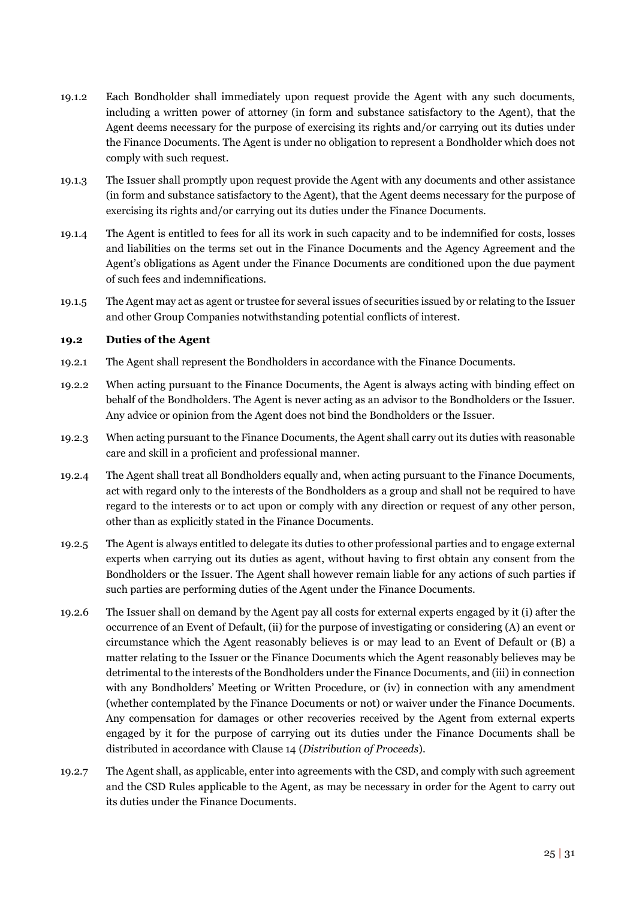- <span id="page-27-1"></span>19.1.2 Each Bondholder shall immediately upon request provide the Agent with any such documents, including a written power of attorney (in form and substance satisfactory to the Agent), that the Agent deems necessary for the purpose of exercising its rights and/or carrying out its duties under the Finance Documents. The Agent is under no obligation to represent a Bondholder which does not comply with such request.
- 19.1.3 The Issuer shall promptly upon request provide the Agent with any documents and other assistance (in form and substance satisfactory to the Agent), that the Agent deems necessary for the purpose of exercising its rights and/or carrying out its duties under the Finance Documents.
- 19.1.4 The Agent is entitled to fees for all its work in such capacity and to be indemnified for costs, losses and liabilities on the terms set out in the Finance Documents and the Agency Agreement and the Agent's obligations as Agent under the Finance Documents are conditioned upon the due payment of such fees and indemnifications.
- 19.1.5 The Agent may act as agent or trustee for several issues of securities issued by or relating to the Issuer and other Group Companies notwithstanding potential conflicts of interest.

#### **19.2 Duties of the Agent**

- 19.2.1 The Agent shall represent the Bondholders in accordance with the Finance Documents.
- 19.2.2 When acting pursuant to the Finance Documents, the Agent is always acting with binding effect on behalf of the Bondholders. The Agent is never acting as an advisor to the Bondholders or the Issuer. Any advice or opinion from the Agent does not bind the Bondholders or the Issuer.
- 19.2.3 When acting pursuant to the Finance Documents, the Agent shall carry out its duties with reasonable care and skill in a proficient and professional manner.
- <span id="page-27-0"></span>19.2.4 The Agent shall treat all Bondholders equally and, when acting pursuant to the Finance Documents, act with regard only to the interests of the Bondholders as a group and shall not be required to have regard to the interests or to act upon or comply with any direction or request of any other person, other than as explicitly stated in the Finance Documents.
- 19.2.5 The Agent is always entitled to delegate its duties to other professional parties and to engage external experts when carrying out its duties as agent, without having to first obtain any consent from the Bondholders or the Issuer. The Agent shall however remain liable for any actions of such parties if such parties are performing duties of the Agent under the Finance Documents.
- 19.2.6 The Issuer shall on demand by the Agent pay all costs for external experts engaged by it (i) after the occurrence of an Event of Default, (ii) for the purpose of investigating or considering (A) an event or circumstance which the Agent reasonably believes is or may lead to an Event of Default or (B) a matter relating to the Issuer or the Finance Documents which the Agent reasonably believes may be detrimental to the interests of the Bondholders under the Finance Documents, and (iii) in connection with any Bondholders' Meeting or Written Procedure, or (iv) in connection with any amendment (whether contemplated by the Finance Documents or not) or waiver under the Finance Documents. Any compensation for damages or other recoveries received by the Agent from external experts engaged by it for the purpose of carrying out its duties under the Finance Documents shall be distributed in accordance with Clause [14 \(](#page-21-0)*Distribution of Proceeds*).
- 19.2.7 The Agent shall, as applicable, enter into agreements with the CSD, and comply with such agreement and the CSD Rules applicable to the Agent, as may be necessary in order for the Agent to carry out its duties under the Finance Documents.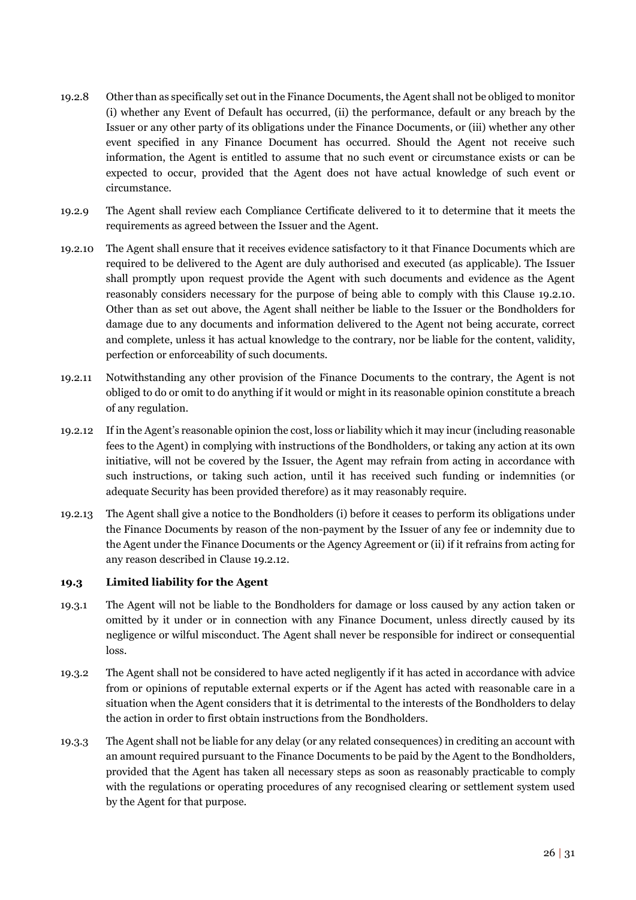- 19.2.8 Other than as specifically set out in the Finance Documents, the Agent shall not be obliged to monitor (i) whether any Event of Default has occurred, (ii) the performance, default or any breach by the Issuer or any other party of its obligations under the Finance Documents, or (iii) whether any other event specified in any Finance Document has occurred. Should the Agent not receive such information, the Agent is entitled to assume that no such event or circumstance exists or can be expected to occur, provided that the Agent does not have actual knowledge of such event or circumstance.
- 19.2.9 The Agent shall review each Compliance Certificate delivered to it to determine that it meets the requirements as agreed between the Issuer and the Agent.
- 19.2.10 The Agent shall ensure that it receives evidence satisfactory to it that Finance Documents which are required to be delivered to the Agent are duly authorised and executed (as applicable). The Issuer shall promptly upon request provide the Agent with such documents and evidence as the Agent reasonably considers necessary for the purpose of being able to comply with this Clause 19.2.10. Other than as set out above, the Agent shall neither be liable to the Issuer or the Bondholders for damage due to any documents and information delivered to the Agent not being accurate, correct and complete, unless it has actual knowledge to the contrary, nor be liable for the content, validity, perfection or enforceability of such documents.
- <span id="page-28-1"></span>19.2.11 Notwithstanding any other provision of the Finance Documents to the contrary, the Agent is not obliged to do or omit to do anything if it would or might in its reasonable opinion constitute a breach of any regulation.
- <span id="page-28-0"></span>19.2.12 If in the Agent's reasonable opinion the cost, loss or liability which it may incur (including reasonable fees to the Agent) in complying with instructions of the Bondholders, or taking any action at its own initiative, will not be covered by the Issuer, the Agent may refrain from acting in accordance with such instructions, or taking such action, until it has received such funding or indemnities (or adequate Security has been provided therefore) as it may reasonably require.
- 19.2.13 The Agent shall give a notice to the Bondholders (i) before it ceases to perform its obligations under the Finance Documents by reason of the non-payment by the Issuer of any fee or indemnity due to the Agent under the Finance Documents or the Agency Agreement or (ii) if it refrains from acting for any reason described in Claus[e 19.2.12.](#page-28-0)

#### **19.3 Limited liability for the Agent**

- 19.3.1 The Agent will not be liable to the Bondholders for damage or loss caused by any action taken or omitted by it under or in connection with any Finance Document, unless directly caused by its negligence or wilful misconduct. The Agent shall never be responsible for indirect or consequential loss.
- 19.3.2 The Agent shall not be considered to have acted negligently if it has acted in accordance with advice from or opinions of reputable external experts or if the Agent has acted with reasonable care in a situation when the Agent considers that it is detrimental to the interests of the Bondholders to delay the action in order to first obtain instructions from the Bondholders.
- 19.3.3 The Agent shall not be liable for any delay (or any related consequences) in crediting an account with an amount required pursuant to the Finance Documents to be paid by the Agent to the Bondholders, provided that the Agent has taken all necessary steps as soon as reasonably practicable to comply with the regulations or operating procedures of any recognised clearing or settlement system used by the Agent for that purpose.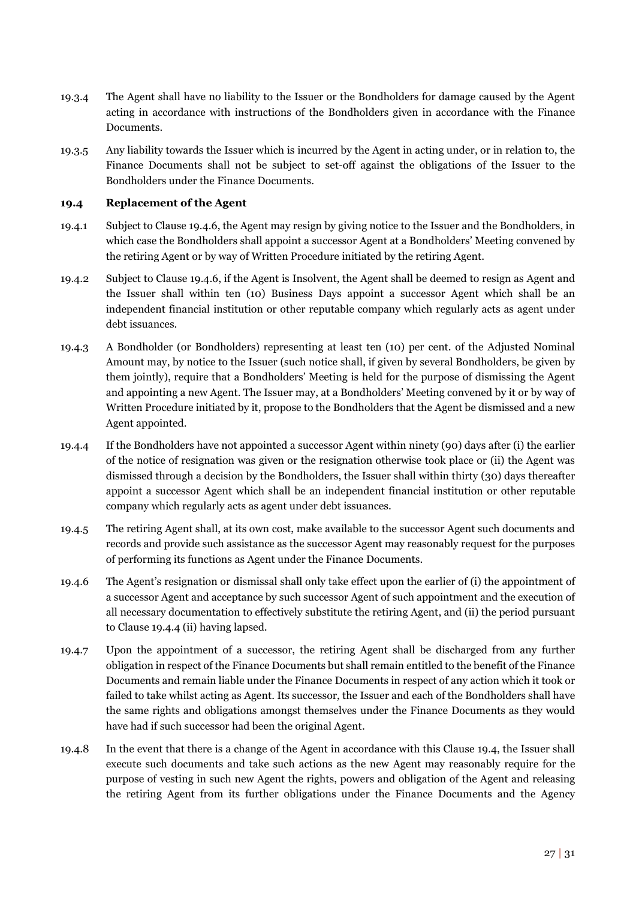- 19.3.4 The Agent shall have no liability to the Issuer or the Bondholders for damage caused by the Agent acting in accordance with instructions of the Bondholders given in accordance with the Finance Documents.
- 19.3.5 Any liability towards the Issuer which is incurred by the Agent in acting under, or in relation to, the Finance Documents shall not be subject to set-off against the obligations of the Issuer to the Bondholders under the Finance Documents.

#### **19.4 Replacement of the Agent**

- 19.4.1 Subject to Clause [19.4.6,](#page-29-1) the Agent may resign by giving notice to the Issuer and the Bondholders, in which case the Bondholders shall appoint a successor Agent at a Bondholders' Meeting convened by the retiring Agent or by way of Written Procedure initiated by the retiring Agent.
- 19.4.2 Subject to Clause [19.4.6,](#page-29-1) if the Agent is Insolvent, the Agent shall be deemed to resign as Agent and the Issuer shall within ten (10) Business Days appoint a successor Agent which shall be an independent financial institution or other reputable company which regularly acts as agent under debt issuances.
- <span id="page-29-0"></span>19.4.3 A Bondholder (or Bondholders) representing at least ten (10) per cent. of the Adjusted Nominal Amount may, by notice to the Issuer (such notice shall, if given by several Bondholders, be given by them jointly), require that a Bondholders' Meeting is held for the purpose of dismissing the Agent and appointing a new Agent. The Issuer may, at a Bondholders' Meeting convened by it or by way of Written Procedure initiated by it, propose to the Bondholders that the Agent be dismissed and a new Agent appointed.
- <span id="page-29-2"></span>19.4.4 If the Bondholders have not appointed a successor Agent within ninety (90) days after (i) the earlier of the notice of resignation was given or the resignation otherwise took place or (ii) the Agent was dismissed through a decision by the Bondholders, the Issuer shall within thirty (30) days thereafter appoint a successor Agent which shall be an independent financial institution or other reputable company which regularly acts as agent under debt issuances.
- 19.4.5 The retiring Agent shall, at its own cost, make available to the successor Agent such documents and records and provide such assistance as the successor Agent may reasonably request for the purposes of performing its functions as Agent under the Finance Documents.
- <span id="page-29-1"></span>19.4.6 The Agent's resignation or dismissal shall only take effect upon the earlier of (i) the appointment of a successor Agent and acceptance by such successor Agent of such appointment and the execution of all necessary documentation to effectively substitute the retiring Agent, and (ii) the period pursuant to Clause [19.4.4](#page-29-2) (ii) having lapsed.
- 19.4.7 Upon the appointment of a successor, the retiring Agent shall be discharged from any further obligation in respect of the Finance Documents but shall remain entitled to the benefit of the Finance Documents and remain liable under the Finance Documents in respect of any action which it took or failed to take whilst acting as Agent. Its successor, the Issuer and each of the Bondholders shall have the same rights and obligations amongst themselves under the Finance Documents as they would have had if such successor had been the original Agent.
- 19.4.8 In the event that there is a change of the Agent in accordance with this Clause 19.4, the Issuer shall execute such documents and take such actions as the new Agent may reasonably require for the purpose of vesting in such new Agent the rights, powers and obligation of the Agent and releasing the retiring Agent from its further obligations under the Finance Documents and the Agency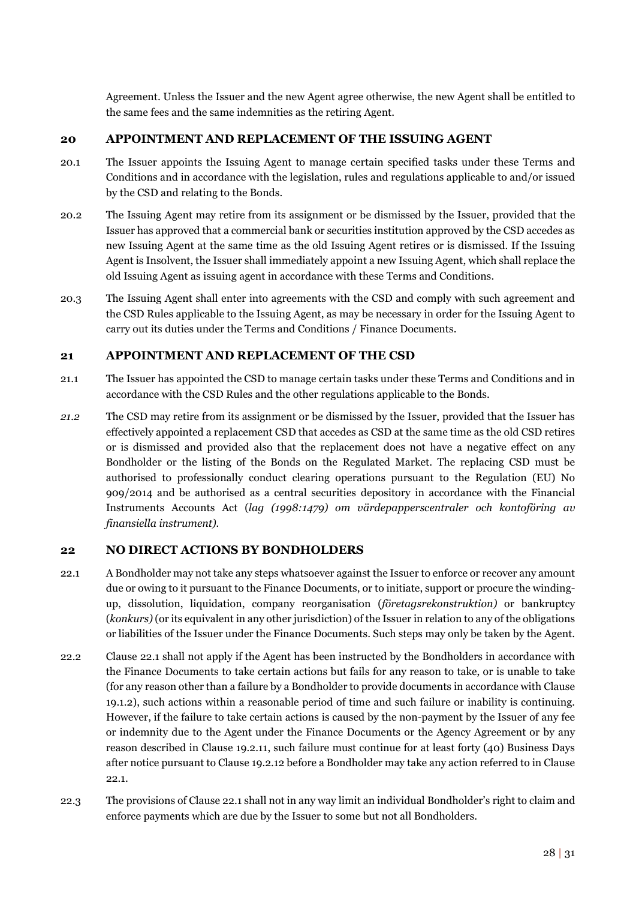Agreement. Unless the Issuer and the new Agent agree otherwise, the new Agent shall be entitled to the same fees and the same indemnities as the retiring Agent.

### <span id="page-30-0"></span>**20 APPOINTMENT AND REPLACEMENT OF THE ISSUING AGENT**

- 20.1 The Issuer appoints the Issuing Agent to manage certain specified tasks under these Terms and Conditions and in accordance with the legislation, rules and regulations applicable to and/or issued by the CSD and relating to the Bonds.
- 20.2 The Issuing Agent may retire from its assignment or be dismissed by the Issuer, provided that the Issuer has approved that a commercial bank or securities institution approved by the CSD accedes as new Issuing Agent at the same time as the old Issuing Agent retires or is dismissed. If the Issuing Agent is Insolvent, the Issuer shall immediately appoint a new Issuing Agent, which shall replace the old Issuing Agent as issuing agent in accordance with these Terms and Conditions.
- 20.3 The Issuing Agent shall enter into agreements with the CSD and comply with such agreement and the CSD Rules applicable to the Issuing Agent, as may be necessary in order for the Issuing Agent to carry out its duties under the Terms and Conditions / Finance Documents.

### <span id="page-30-1"></span>**21 APPOINTMENT AND REPLACEMENT OF THE CSD**

- 21.1 The Issuer has appointed the CSD to manage certain tasks under these Terms and Conditions and in accordance with the CSD Rules and the other regulations applicable to the Bonds.
- *21.2* The CSD may retire from its assignment or be dismissed by the Issuer, provided that the Issuer has effectively appointed a replacement CSD that accedes as CSD at the same time as the old CSD retires or is dismissed and provided also that the replacement does not have a negative effect on any Bondholder or the listing of the Bonds on the Regulated Market. The replacing CSD must be authorised to professionally conduct clearing operations pursuant to the Regulation (EU) No 909/2014 and be authorised as a central securities depository in accordance with the Financial Instruments Accounts Act (*lag (1998:1479) om värdepapperscentraler och kontoföring av finansiella instrument).*

# <span id="page-30-2"></span>**22 NO DIRECT ACTIONS BY BONDHOLDERS**

- <span id="page-30-3"></span>22.1 A Bondholder may not take any steps whatsoever against the Issuer to enforce or recover any amount due or owing to it pursuant to the Finance Documents, or to initiate, support or procure the windingup, dissolution, liquidation, company reorganisation (*företagsrekonstruktion)* or bankruptcy (*konkurs)* (or its equivalent in any other jurisdiction) of the Issuer in relation to any of the obligations or liabilities of the Issuer under the Finance Documents. Such steps may only be taken by the Agent.
- 22.2 Clause [22.1](#page-30-3) shall not apply if the Agent has been instructed by the Bondholders in accordance with the Finance Documents to take certain actions but fails for any reason to take, or is unable to take (for any reason other than a failure by a Bondholder to provide documents in accordance with Clause [19.1.2\)](#page-27-1), such actions within a reasonable period of time and such failure or inability is continuing. However, if the failure to take certain actions is caused by the non-payment by the Issuer of any fee or indemnity due to the Agent under the Finance Documents or the Agency Agreement or by any reason described in Clause [19.2.11,](#page-28-1) such failure must continue for at least forty (40) Business Days after notice pursuant to Claus[e 19.2.12 b](#page-28-0)efore a Bondholder may take any action referred to in Clause [22.1.](#page-30-3)
- 22.3 The provisions of Claus[e 22.1 s](#page-30-3)hall not in any way limit an individual Bondholder's right to claim and enforce payments which are due by the Issuer to some but not all Bondholders.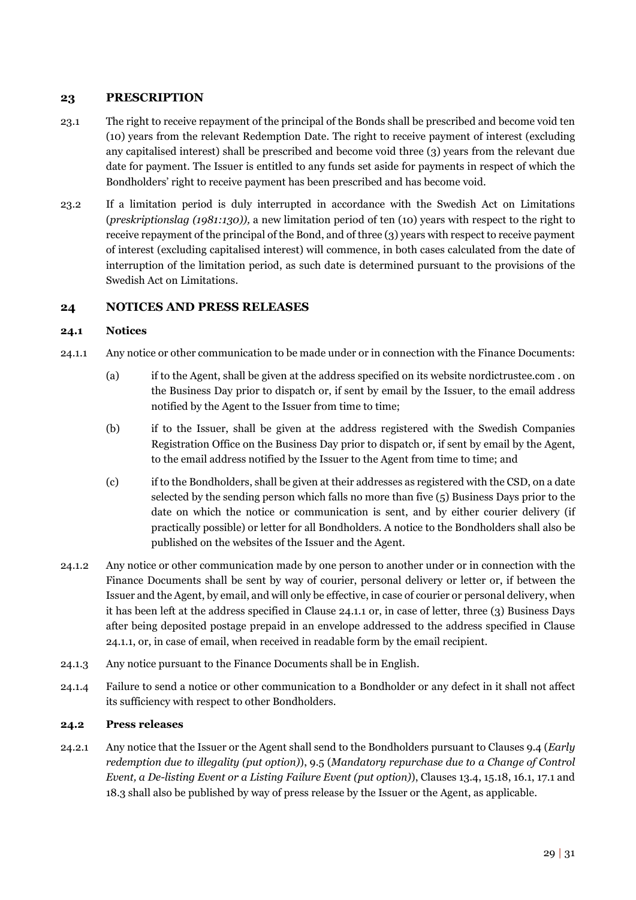# <span id="page-31-0"></span>**23 PRESCRIPTION**

- 23.1 The right to receive repayment of the principal of the Bonds shall be prescribed and become void ten (10) years from the relevant Redemption Date. The right to receive payment of interest (excluding any capitalised interest) shall be prescribed and become void three (3) years from the relevant due date for payment. The Issuer is entitled to any funds set aside for payments in respect of which the Bondholders' right to receive payment has been prescribed and has become void.
- 23.2 If a limitation period is duly interrupted in accordance with the Swedish Act on Limitations (*preskriptionslag (1981:130)),* a new limitation period of ten (10) years with respect to the right to receive repayment of the principal of the Bond, and of three (3) years with respect to receive payment of interest (excluding capitalised interest) will commence, in both cases calculated from the date of interruption of the limitation period, as such date is determined pursuant to the provisions of the Swedish Act on Limitations.

# <span id="page-31-1"></span>**24 NOTICES AND PRESS RELEASES**

### **24.1 Notices**

- <span id="page-31-2"></span>24.1.1 Any notice or other communication to be made under or in connection with the Finance Documents:
	- (a) if to the Agent, shall be given at the address specified on its website nordictrustee.com . on the Business Day prior to dispatch or, if sent by email by the Issuer, to the email address notified by the Agent to the Issuer from time to time;
	- (b) if to the Issuer, shall be given at the address registered with the Swedish Companies Registration Office on the Business Day prior to dispatch or, if sent by email by the Agent, to the email address notified by the Issuer to the Agent from time to time; and
	- (c) if to the Bondholders, shall be given at their addresses as registered with the CSD, on a date selected by the sending person which falls no more than five (5) Business Days prior to the date on which the notice or communication is sent, and by either courier delivery (if practically possible) or letter for all Bondholders. A notice to the Bondholders shall also be published on the websites of the Issuer and the Agent.
- 24.1.2 Any notice or other communication made by one person to another under or in connection with the Finance Documents shall be sent by way of courier, personal delivery or letter or, if between the Issuer and the Agent, by email, and will only be effective, in case of courier or personal delivery, when it has been left at the address specified in Clause [24.1.1](#page-31-2) or, in case of letter, three (3) Business Days after being deposited postage prepaid in an envelope addressed to the address specified in Clause [24.1.1,](#page-31-2) or, in case of email, when received in readable form by the email recipient.
- 24.1.3 Any notice pursuant to the Finance Documents shall be in English.
- 24.1.4 Failure to send a notice or other communication to a Bondholder or any defect in it shall not affect its sufficiency with respect to other Bondholders.

#### **24.2 Press releases**

<span id="page-31-3"></span>24.2.1 Any notice that the Issuer or the Agent shall send to the Bondholders pursuant to Clauses [9.4](#page-14-4) (*Early redemption due to illegality (put option)*), [9.5](#page-15-2) (*Mandatory repurchase due to a Change of Control Event, a De-listing Event or a Listing Failure Event (put option)*), Clauses [13.4,](#page-21-1) [15.18,](#page-25-5) [16.1,](#page-25-2) [17.1 a](#page-25-4)nd 18.3 shall also be published by way of press release by the Issuer or the Agent, as applicable.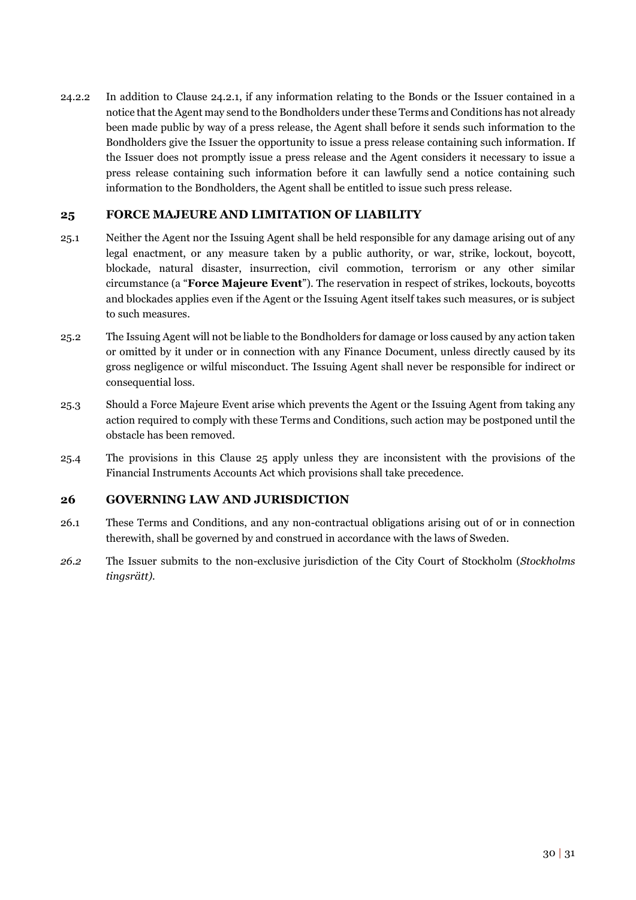24.2.2 In addition to Clause [24.2.1,](#page-31-3) if any information relating to the Bonds or the Issuer contained in a notice that the Agent may send to the Bondholders under these Terms and Conditions has not already been made public by way of a press release, the Agent shall before it sends such information to the Bondholders give the Issuer the opportunity to issue a press release containing such information. If the Issuer does not promptly issue a press release and the Agent considers it necessary to issue a press release containing such information before it can lawfully send a notice containing such information to the Bondholders, the Agent shall be entitled to issue such press release.

# <span id="page-32-0"></span>**25 FORCE MAJEURE AND LIMITATION OF LIABILITY**

- <span id="page-32-2"></span>25.1 Neither the Agent nor the Issuing Agent shall be held responsible for any damage arising out of any legal enactment, or any measure taken by a public authority, or war, strike, lockout, boycott, blockade, natural disaster, insurrection, civil commotion, terrorism or any other similar circumstance (a "**Force Majeure Event**"). The reservation in respect of strikes, lockouts, boycotts and blockades applies even if the Agent or the Issuing Agent itself takes such measures, or is subject to such measures.
- 25.2 The Issuing Agent will not be liable to the Bondholders for damage or loss caused by any action taken or omitted by it under or in connection with any Finance Document, unless directly caused by its gross negligence or wilful misconduct. The Issuing Agent shall never be responsible for indirect or consequential loss.
- 25.3 Should a Force Majeure Event arise which prevents the Agent or the Issuing Agent from taking any action required to comply with these Terms and Conditions, such action may be postponed until the obstacle has been removed.
- 25.4 The provisions in this Clause 25 apply unless they are inconsistent with the provisions of the Financial Instruments Accounts Act which provisions shall take precedence.

### <span id="page-32-1"></span>**26 GOVERNING LAW AND JURISDICTION**

- 26.1 These Terms and Conditions, and any non-contractual obligations arising out of or in connection therewith, shall be governed by and construed in accordance with the laws of Sweden.
- *26.2* The Issuer submits to the non-exclusive jurisdiction of the City Court of Stockholm (*Stockholms tingsrätt).*